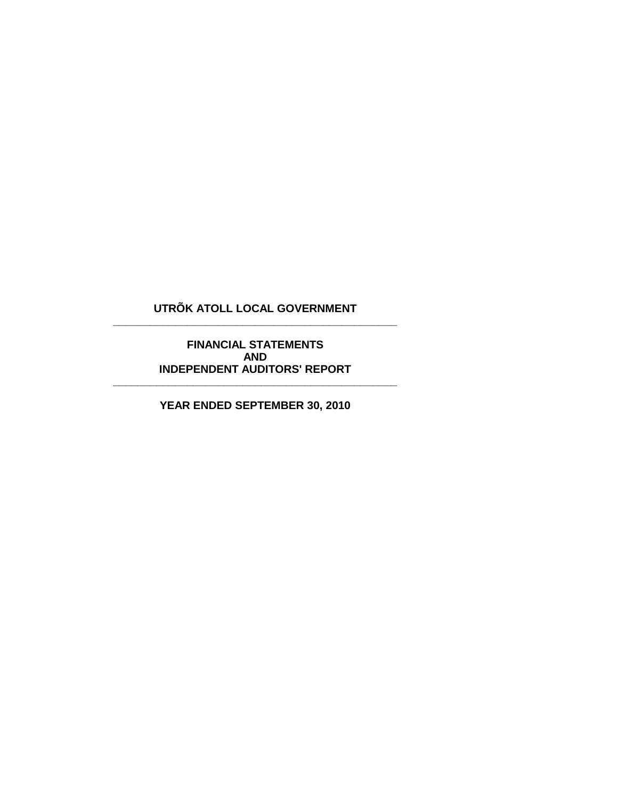# **UTRÕK ATOLL LOCAL GOVERNMENT \_\_\_\_\_\_\_\_\_\_\_\_\_\_\_\_\_\_\_\_\_\_\_\_\_\_\_\_\_\_\_\_\_\_\_\_\_\_\_\_\_\_\_\_\_\_**

**FINANCIAL STATEMENTS AND INDEPENDENT AUDITORS' REPORT**

**YEAR ENDED SEPTEMBER 30, 2010**

**\_\_\_\_\_\_\_\_\_\_\_\_\_\_\_\_\_\_\_\_\_\_\_\_\_\_\_\_\_\_\_\_\_\_\_\_\_\_\_\_\_\_\_\_\_\_**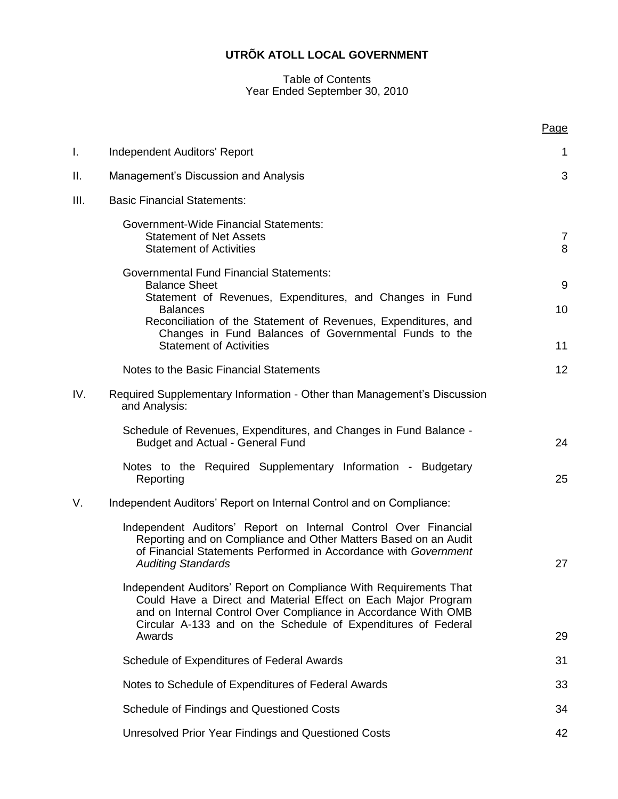#### Table of Contents Year Ended September 30, 2010

|      |                                                                                                                                                                                                                                                                                                                    | Page                       |
|------|--------------------------------------------------------------------------------------------------------------------------------------------------------------------------------------------------------------------------------------------------------------------------------------------------------------------|----------------------------|
| I.   | Independent Auditors' Report                                                                                                                                                                                                                                                                                       | $\mathbf 1$                |
| ΙΙ.  | Management's Discussion and Analysis                                                                                                                                                                                                                                                                               | 3                          |
| III. | <b>Basic Financial Statements:</b>                                                                                                                                                                                                                                                                                 |                            |
|      | <b>Government-Wide Financial Statements:</b><br><b>Statement of Net Assets</b><br><b>Statement of Activities</b>                                                                                                                                                                                                   | $\overline{7}$<br>8        |
|      | <b>Governmental Fund Financial Statements:</b><br><b>Balance Sheet</b><br>Statement of Revenues, Expenditures, and Changes in Fund<br><b>Balances</b><br>Reconciliation of the Statement of Revenues, Expenditures, and<br>Changes in Fund Balances of Governmental Funds to the<br><b>Statement of Activities</b> | 9<br>10 <sup>1</sup><br>11 |
|      | Notes to the Basic Financial Statements                                                                                                                                                                                                                                                                            | 12                         |
| IV.  | Required Supplementary Information - Other than Management's Discussion<br>and Analysis:                                                                                                                                                                                                                           |                            |
|      | Schedule of Revenues, Expenditures, and Changes in Fund Balance -<br><b>Budget and Actual - General Fund</b>                                                                                                                                                                                                       | 24                         |
|      | Notes to the Required Supplementary Information - Budgetary<br>Reporting                                                                                                                                                                                                                                           | 25                         |
| V.   | Independent Auditors' Report on Internal Control and on Compliance:                                                                                                                                                                                                                                                |                            |
|      | Independent Auditors' Report on Internal Control Over Financial<br>Reporting and on Compliance and Other Matters Based on an Audit<br>of Financial Statements Performed in Accordance with Government<br><b>Auditing Standards</b>                                                                                 | 27                         |
|      | Independent Auditors' Report on Compliance With Requirements That<br>Could Have a Direct and Material Effect on Each Major Program<br>and on Internal Control Over Compliance in Accordance With OMB<br>Circular A-133 and on the Schedule of Expenditures of Federal                                              |                            |
|      | Awards                                                                                                                                                                                                                                                                                                             | 29                         |
|      | Schedule of Expenditures of Federal Awards                                                                                                                                                                                                                                                                         | 31                         |
|      | Notes to Schedule of Expenditures of Federal Awards                                                                                                                                                                                                                                                                | 33                         |
|      | Schedule of Findings and Questioned Costs                                                                                                                                                                                                                                                                          | 34                         |
|      | <b>Unresolved Prior Year Findings and Questioned Costs</b>                                                                                                                                                                                                                                                         | 42                         |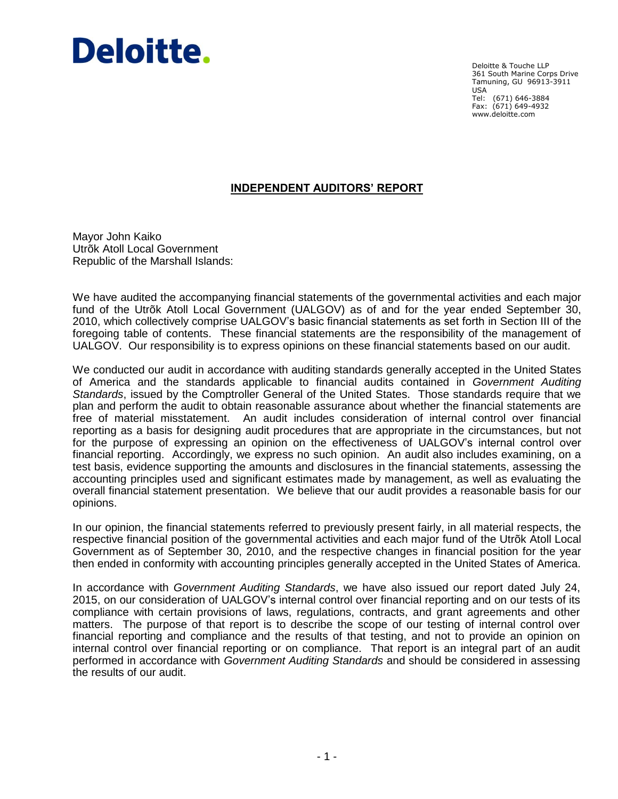# Deloitte.

Deloitte & Touche LLP 361 South Marine Corps Drive Tamuning, GU 96913-3911 USA Tel: (671) 646-3884 Fax: (671) 649-4932 www.deloitte.com

# **INDEPENDENT AUDITORS' REPORT**

Mayor John Kaiko Utrõk Atoll Local Government Republic of the Marshall Islands:

We have audited the accompanying financial statements of the governmental activities and each major fund of the Utrõk Atoll Local Government (UALGOV) as of and for the year ended September 30, 2010, which collectively comprise UALGOV's basic financial statements as set forth in Section III of the foregoing table of contents. These financial statements are the responsibility of the management of UALGOV. Our responsibility is to express opinions on these financial statements based on our audit.

We conducted our audit in accordance with auditing standards generally accepted in the United States of America and the standards applicable to financial audits contained in *Government Auditing Standards*, issued by the Comptroller General of the United States. Those standards require that we plan and perform the audit to obtain reasonable assurance about whether the financial statements are free of material misstatement. An audit includes consideration of internal control over financial reporting as a basis for designing audit procedures that are appropriate in the circumstances, but not for the purpose of expressing an opinion on the effectiveness of UALGOV's internal control over financial reporting. Accordingly, we express no such opinion. An audit also includes examining, on a test basis, evidence supporting the amounts and disclosures in the financial statements, assessing the accounting principles used and significant estimates made by management, as well as evaluating the overall financial statement presentation. We believe that our audit provides a reasonable basis for our opinions.

In our opinion, the financial statements referred to previously present fairly, in all material respects, the respective financial position of the governmental activities and each major fund of the Utrõk Atoll Local Government as of September 30, 2010, and the respective changes in financial position for the year then ended in conformity with accounting principles generally accepted in the United States of America.

In accordance with *Government Auditing Standards*, we have also issued our report dated July 24, 2015, on our consideration of UALGOV's internal control over financial reporting and on our tests of its compliance with certain provisions of laws, regulations, contracts, and grant agreements and other matters. The purpose of that report is to describe the scope of our testing of internal control over financial reporting and compliance and the results of that testing, and not to provide an opinion on internal control over financial reporting or on compliance. That report is an integral part of an audit performed in accordance with *Government Auditing Standards* and should be considered in assessing the results of our audit.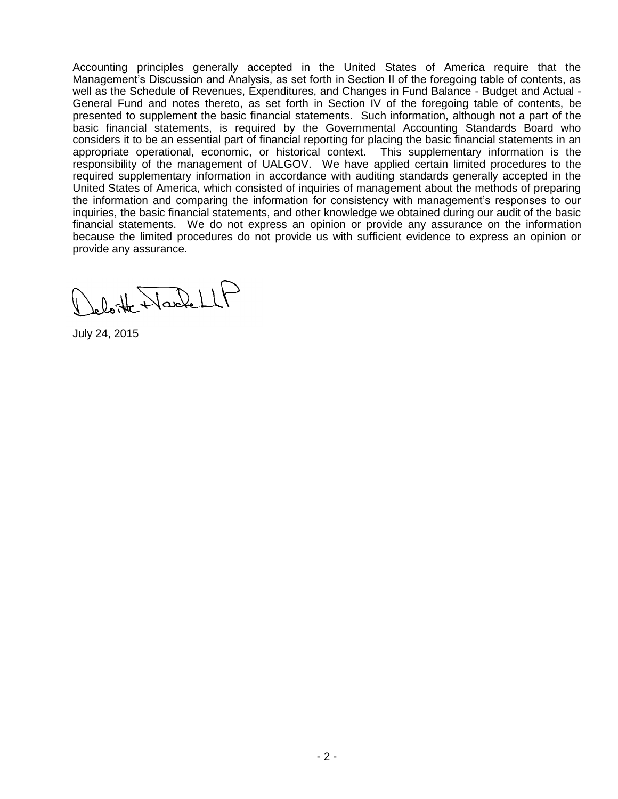Accounting principles generally accepted in the United States of America require that the Management's Discussion and Analysis, as set forth in Section II of the foregoing table of contents, as well as the Schedule of Revenues, Expenditures, and Changes in Fund Balance - Budget and Actual - General Fund and notes thereto, as set forth in Section IV of the foregoing table of contents, be presented to supplement the basic financial statements. Such information, although not a part of the basic financial statements, is required by the Governmental Accounting Standards Board who considers it to be an essential part of financial reporting for placing the basic financial statements in an appropriate operational, economic, or historical context. This supplementary information is the responsibility of the management of UALGOV. We have applied certain limited procedures to the required supplementary information in accordance with auditing standards generally accepted in the United States of America, which consisted of inquiries of management about the methods of preparing the information and comparing the information for consistency with management's responses to our inquiries, the basic financial statements, and other knowledge we obtained during our audit of the basic financial statements. We do not express an opinion or provide any assurance on the information because the limited procedures do not provide us with sufficient evidence to express an opinion or provide any assurance.

eloite NachellP

July 24, 2015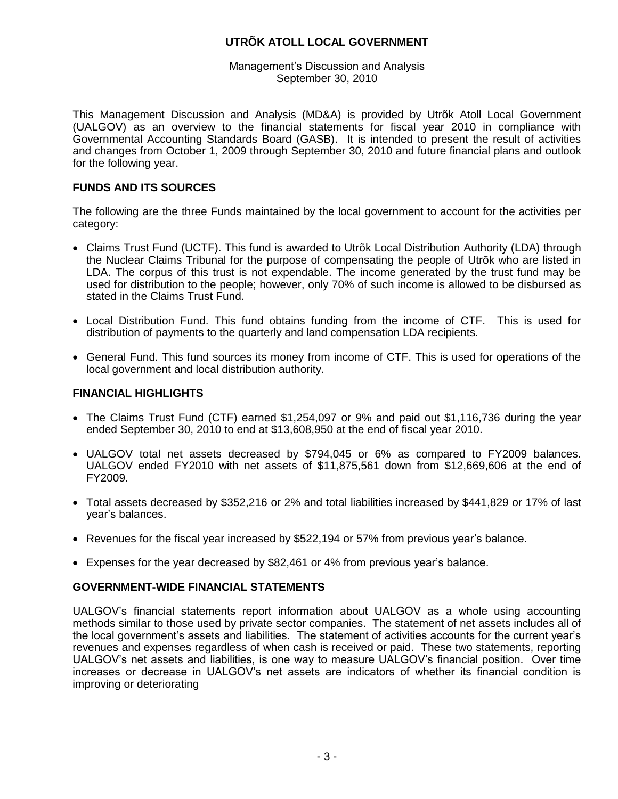Management's Discussion and Analysis September 30, 2010

This Management Discussion and Analysis (MD&A) is provided by Utrõk Atoll Local Government (UALGOV) as an overview to the financial statements for fiscal year 2010 in compliance with Governmental Accounting Standards Board (GASB). It is intended to present the result of activities and changes from October 1, 2009 through September 30, 2010 and future financial plans and outlook for the following year.

## **FUNDS AND ITS SOURCES**

The following are the three Funds maintained by the local government to account for the activities per category:

- Claims Trust Fund (UCTF). This fund is awarded to Utrõk Local Distribution Authority (LDA) through the Nuclear Claims Tribunal for the purpose of compensating the people of Utrõk who are listed in LDA. The corpus of this trust is not expendable. The income generated by the trust fund may be used for distribution to the people; however, only 70% of such income is allowed to be disbursed as stated in the Claims Trust Fund.
- Local Distribution Fund. This fund obtains funding from the income of CTF. This is used for distribution of payments to the quarterly and land compensation LDA recipients.
- General Fund. This fund sources its money from income of CTF. This is used for operations of the local government and local distribution authority.

#### **FINANCIAL HIGHLIGHTS**

- The Claims Trust Fund (CTF) earned \$1,254,097 or 9% and paid out \$1,116,736 during the year ended September 30, 2010 to end at \$13,608,950 at the end of fiscal year 2010.
- UALGOV total net assets decreased by \$794,045 or 6% as compared to FY2009 balances. UALGOV ended FY2010 with net assets of \$11,875,561 down from \$12,669,606 at the end of FY2009.
- Total assets decreased by \$352,216 or 2% and total liabilities increased by \$441,829 or 17% of last year's balances.
- Revenues for the fiscal year increased by \$522,194 or 57% from previous year's balance.
- Expenses for the year decreased by \$82,461 or 4% from previous year's balance.

#### **GOVERNMENT-WIDE FINANCIAL STATEMENTS**

UALGOV's financial statements report information about UALGOV as a whole using accounting methods similar to those used by private sector companies. The statement of net assets includes all of the local government's assets and liabilities. The statement of activities accounts for the current year's revenues and expenses regardless of when cash is received or paid. These two statements, reporting UALGOV's net assets and liabilities, is one way to measure UALGOV's financial position. Over time increases or decrease in UALGOV's net assets are indicators of whether its financial condition is improving or deteriorating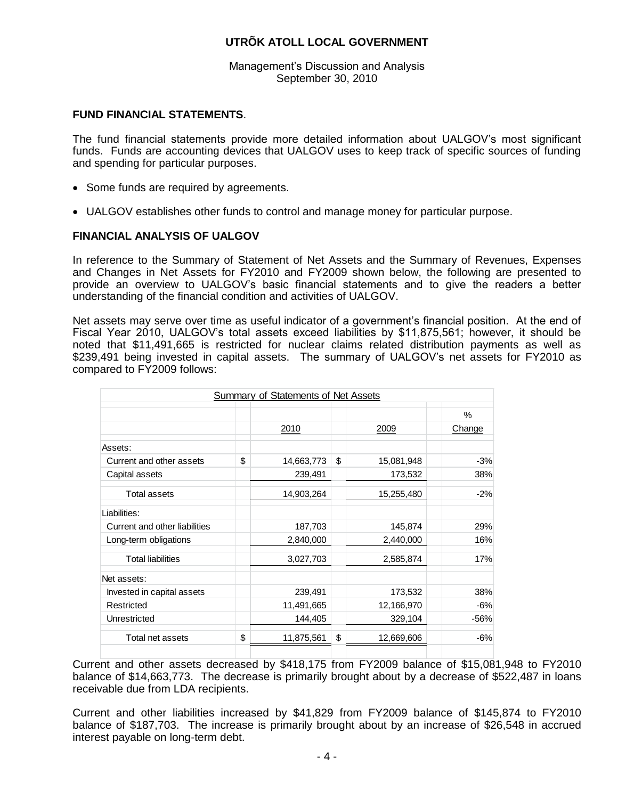Management's Discussion and Analysis September 30, 2010

#### **FUND FINANCIAL STATEMENTS**.

The fund financial statements provide more detailed information about UALGOV's most significant funds. Funds are accounting devices that UALGOV uses to keep track of specific sources of funding and spending for particular purposes.

- Some funds are required by agreements.
- UALGOV establishes other funds to control and manage money for particular purpose.

## **FINANCIAL ANALYSIS OF UALGOV**

In reference to the Summary of Statement of Net Assets and the Summary of Revenues, Expenses and Changes in Net Assets for FY2010 and FY2009 shown below, the following are presented to provide an overview to UALGOV's basic financial statements and to give the readers a better understanding of the financial condition and activities of UALGOV.

Net assets may serve over time as useful indicator of a government's financial position. At the end of Fiscal Year 2010, UALGOV's total assets exceed liabilities by \$11,875,561; however, it should be noted that \$11,491,665 is restricted for nuclear claims related distribution payments as well as \$239,491 being invested in capital assets. The summary of UALGOV's net assets for FY2010 as compared to FY2009 follows:

|                               | Summary of Statements of Net Assets |                  |               |
|-------------------------------|-------------------------------------|------------------|---------------|
|                               |                                     |                  | $\frac{0}{0}$ |
|                               | 2010                                | 2009             | Change        |
| Assets:                       |                                     |                  |               |
| Current and other assets      | \$<br>14,663,773                    | \$<br>15,081,948 | $-3%$         |
| Capital assets                | 239,491                             | 173,532          | 38%           |
| <b>Total assets</b>           | 14,903,264                          | 15,255,480       | $-2%$         |
| Liabilities:                  |                                     |                  |               |
| Current and other liabilities | 187,703                             | 145,874          | 29%           |
| Long-term obligations         | 2,840,000                           | 2,440,000        | 16%           |
| <b>Total liabilities</b>      | 3,027,703                           | 2,585,874        | 17%           |
| Net assets:                   |                                     |                  |               |
| Invested in capital assets    | 239,491                             | 173,532          | 38%           |
| Restricted                    | 11,491,665                          | 12,166,970       | $-6%$         |
| Unrestricted                  | 144,405                             | 329,104          | $-56%$        |
| Total net assets              | \$<br>11,875,561                    | \$<br>12,669,606 | $-6%$         |

Current and other assets decreased by \$418,175 from FY2009 balance of \$15,081,948 to FY2010 balance of \$14,663,773. The decrease is primarily brought about by a decrease of \$522,487 in loans receivable due from LDA recipients.

Current and other liabilities increased by \$41,829 from FY2009 balance of \$145,874 to FY2010 balance of \$187,703. The increase is primarily brought about by an increase of \$26,548 in accrued interest payable on long-term debt.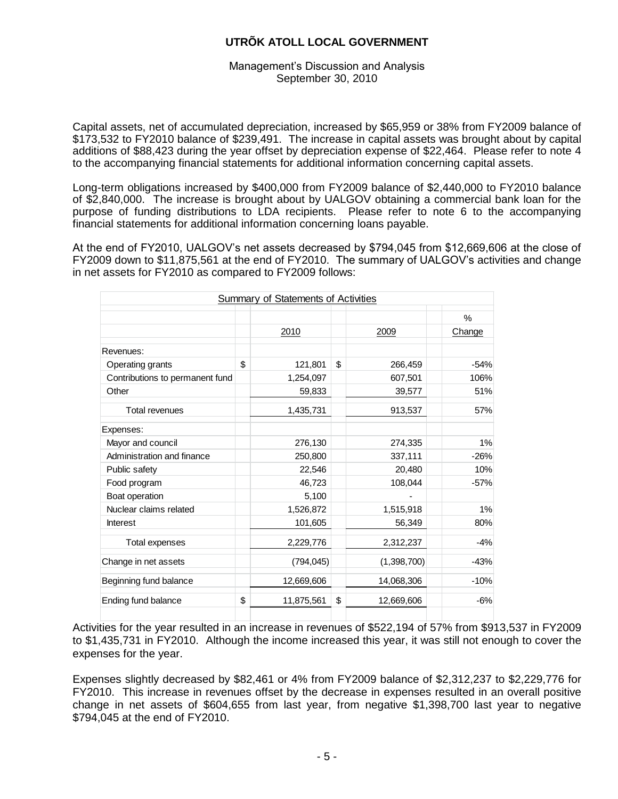#### Management's Discussion and Analysis September 30, 2010

Capital assets, net of accumulated depreciation, increased by \$65,959 or 38% from FY2009 balance of \$173,532 to FY2010 balance of \$239,491. The increase in capital assets was brought about by capital additions of \$88,423 during the year offset by depreciation expense of \$22,464. Please refer to note 4 to the accompanying financial statements for additional information concerning capital assets.

Long-term obligations increased by \$400,000 from FY2009 balance of \$2,440,000 to FY2010 balance of \$2,840,000. The increase is brought about by UALGOV obtaining a commercial bank loan for the purpose of funding distributions to LDA recipients. Please refer to note 6 to the accompanying financial statements for additional information concerning loans payable.

At the end of FY2010, UALGOV's net assets decreased by \$794,045 from \$12,669,606 at the close of FY2009 down to \$11,875,561 at the end of FY2010. The summary of UALGOV's activities and change in net assets for FY2010 as compared to FY2009 follows:

|                                 | Summary of Statements of Activities |                  |        |
|---------------------------------|-------------------------------------|------------------|--------|
|                                 |                                     |                  | $\%$   |
|                                 | 2010                                | 2009             | Change |
| Revenues:                       |                                     |                  |        |
| Operating grants                | \$<br>121,801                       | \$<br>266,459    | $-54%$ |
| Contributions to permanent fund | 1,254,097                           | 607,501          | 106%   |
| Other                           | 59,833                              | 39,577           | 51%    |
| <b>Total revenues</b>           | 1,435,731                           | 913,537          | 57%    |
| Expenses:                       |                                     |                  |        |
| Mayor and council               | 276,130                             | 274,335          | 1%     |
| Administration and finance      | 250,800                             | 337,111          | $-26%$ |
| Public safety                   | 22,546                              | 20,480           | 10%    |
| Food program                    | 46,723                              | 108,044          | $-57%$ |
| Boat operation                  | 5,100                               |                  |        |
| Nuclear claims related          | 1,526,872                           | 1,515,918        | 1%     |
| <b>Interest</b>                 | 101,605                             | 56,349           | 80%    |
| Total expenses                  | 2,229,776                           | 2,312,237        | $-4%$  |
| Change in net assets            | (794, 045)                          | (1,398,700)      | $-43%$ |
| Beginning fund balance          | 12,669,606                          | 14,068,306       | $-10%$ |
| Ending fund balance             | \$<br>11,875,561                    | \$<br>12,669,606 | $-6%$  |

Activities for the year resulted in an increase in revenues of \$522,194 of 57% from \$913,537 in FY2009 to \$1,435,731 in FY2010. Although the income increased this year, it was still not enough to cover the expenses for the year.

Expenses slightly decreased by \$82,461 or 4% from FY2009 balance of \$2,312,237 to \$2,229,776 for FY2010. This increase in revenues offset by the decrease in expenses resulted in an overall positive change in net assets of \$604,655 from last year, from negative \$1,398,700 last year to negative \$794,045 at the end of FY2010.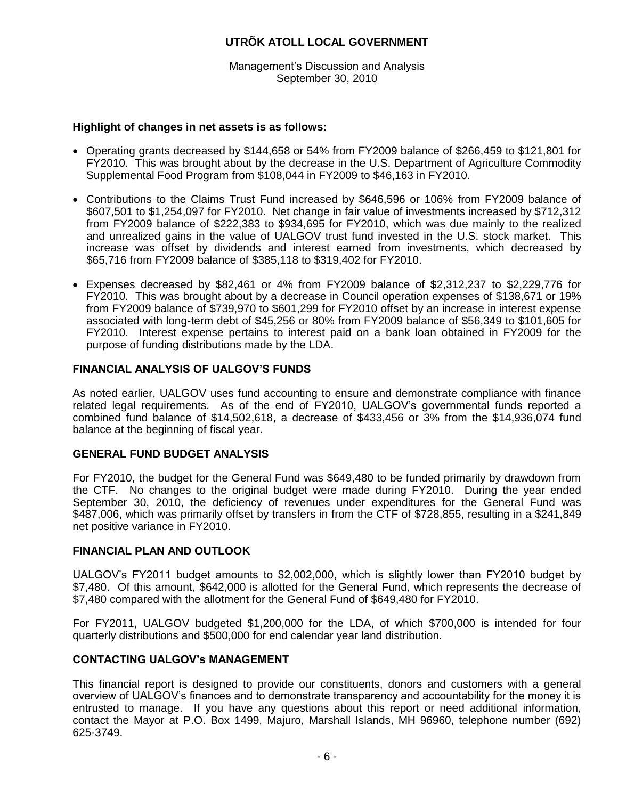Management's Discussion and Analysis September 30, 2010

# **Highlight of changes in net assets is as follows:**

- Operating grants decreased by \$144,658 or 54% from FY2009 balance of \$266,459 to \$121,801 for FY2010. This was brought about by the decrease in the U.S. Department of Agriculture Commodity Supplemental Food Program from \$108,044 in FY2009 to \$46,163 in FY2010.
- Contributions to the Claims Trust Fund increased by \$646,596 or 106% from FY2009 balance of \$607,501 to \$1,254,097 for FY2010. Net change in fair value of investments increased by \$712,312 from FY2009 balance of \$222,383 to \$934,695 for FY2010, which was due mainly to the realized and unrealized gains in the value of UALGOV trust fund invested in the U.S. stock market. This increase was offset by dividends and interest earned from investments, which decreased by \$65,716 from FY2009 balance of \$385,118 to \$319,402 for FY2010.
- Expenses decreased by \$82,461 or 4% from FY2009 balance of \$2,312,237 to \$2,229,776 for FY2010. This was brought about by a decrease in Council operation expenses of \$138,671 or 19% from FY2009 balance of \$739,970 to \$601,299 for FY2010 offset by an increase in interest expense associated with long-term debt of \$45,256 or 80% from FY2009 balance of \$56,349 to \$101,605 for FY2010. Interest expense pertains to interest paid on a bank loan obtained in FY2009 for the purpose of funding distributions made by the LDA.

## **FINANCIAL ANALYSIS OF UALGOV'S FUNDS**

As noted earlier, UALGOV uses fund accounting to ensure and demonstrate compliance with finance related legal requirements. As of the end of FY2010, UALGOV's governmental funds reported a combined fund balance of \$14,502,618, a decrease of \$433,456 or 3% from the \$14,936,074 fund balance at the beginning of fiscal year.

#### **GENERAL FUND BUDGET ANALYSIS**

For FY2010, the budget for the General Fund was \$649,480 to be funded primarily by drawdown from the CTF. No changes to the original budget were made during FY2010. During the year ended September 30, 2010, the deficiency of revenues under expenditures for the General Fund was \$487,006, which was primarily offset by transfers in from the CTF of \$728,855, resulting in a \$241,849 net positive variance in FY2010.

#### **FINANCIAL PLAN AND OUTLOOK**

UALGOV's FY2011 budget amounts to \$2,002,000, which is slightly lower than FY2010 budget by \$7,480. Of this amount, \$642,000 is allotted for the General Fund, which represents the decrease of \$7,480 compared with the allotment for the General Fund of \$649,480 for FY2010.

For FY2011, UALGOV budgeted \$1,200,000 for the LDA, of which \$700,000 is intended for four quarterly distributions and \$500,000 for end calendar year land distribution.

#### **CONTACTING UALGOV's MANAGEMENT**

This financial report is designed to provide our constituents, donors and customers with a general overview of UALGOV's finances and to demonstrate transparency and accountability for the money it is entrusted to manage. If you have any questions about this report or need additional information, contact the Mayor at P.O. Box 1499, Majuro, Marshall Islands, MH 96960, telephone number (692) 625-3749.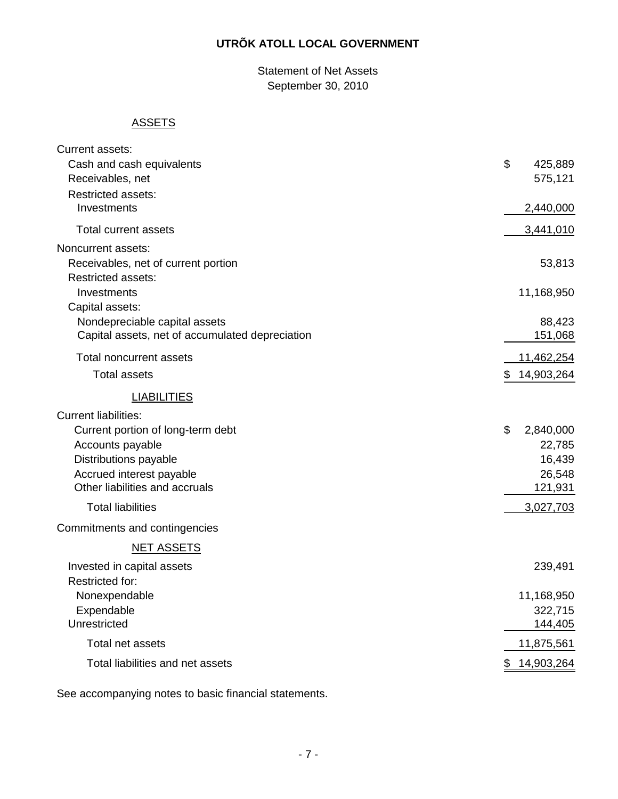Statement of Net Assets September 30, 2010

# **ASSETS**

| Current assets:                                 |                  |
|-------------------------------------------------|------------------|
| Cash and cash equivalents                       | \$<br>425,889    |
| Receivables, net                                | 575,121          |
| <b>Restricted assets:</b>                       |                  |
| Investments                                     | 2,440,000        |
|                                                 |                  |
| <b>Total current assets</b>                     | 3,441,010        |
| Noncurrent assets:                              |                  |
| Receivables, net of current portion             | 53,813           |
| <b>Restricted assets:</b>                       |                  |
| Investments                                     | 11,168,950       |
| Capital assets:                                 |                  |
| Nondepreciable capital assets                   | 88,423           |
| Capital assets, net of accumulated depreciation | 151,068          |
| <b>Total noncurrent assets</b>                  | 11,462,254       |
| <b>Total assets</b>                             | \$14,903,264     |
| <b>LIABILITIES</b>                              |                  |
| <b>Current liabilities:</b>                     |                  |
| Current portion of long-term debt               | \$<br>2,840,000  |
| Accounts payable                                | 22,785           |
| Distributions payable                           | 16,439           |
| Accrued interest payable                        | 26,548           |
| Other liabilities and accruals                  | 121,931          |
| <b>Total liabilities</b>                        | 3,027,703        |
| Commitments and contingencies                   |                  |
| <b>NET ASSETS</b>                               |                  |
| Invested in capital assets                      | 239,491          |
| <b>Restricted for:</b>                          |                  |
| Nonexpendable                                   | 11,168,950       |
| Expendable                                      | 322,715          |
| Unrestricted                                    | 144,405          |
| Total net assets                                | 11,875,561       |
| Total liabilities and net assets                | \$<br>14,903,264 |
|                                                 |                  |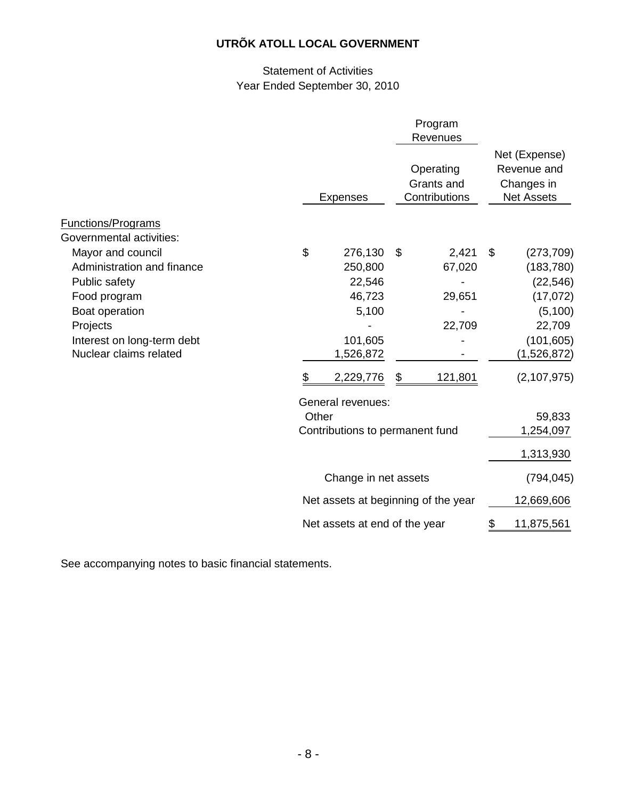# Statement of Activities Year Ended September 30, 2010

|                                                                                                                                                                                                    |                                                               |                                                                                      |                                  | Program<br>Revenues                            |    |                                                                                                                       |
|----------------------------------------------------------------------------------------------------------------------------------------------------------------------------------------------------|---------------------------------------------------------------|--------------------------------------------------------------------------------------|----------------------------------|------------------------------------------------|----|-----------------------------------------------------------------------------------------------------------------------|
|                                                                                                                                                                                                    |                                                               | <b>Expenses</b>                                                                      |                                  | Operating<br>Grants and<br>Contributions       |    | Net (Expense)<br>Revenue and<br>Changes in<br><b>Net Assets</b>                                                       |
| <b>Functions/Programs</b>                                                                                                                                                                          |                                                               |                                                                                      |                                  |                                                |    |                                                                                                                       |
| Governmental activities:<br>Mayor and council<br>Administration and finance<br>Public safety<br>Food program<br>Boat operation<br>Projects<br>Interest on long-term debt<br>Nuclear claims related | \$<br>\$                                                      | 276,130<br>250,800<br>22,546<br>46,723<br>5,100<br>101,605<br>1,526,872<br>2,229,776 | \$<br>\$                         | 2,421<br>67,020<br>29,651<br>22,709<br>121,801 | \$ | (273, 709)<br>(183, 780)<br>(22, 546)<br>(17,072)<br>(5, 100)<br>22,709<br>(101, 605)<br>(1,526,872)<br>(2, 107, 975) |
|                                                                                                                                                                                                    | General revenues:<br>Other<br>Contributions to permanent fund |                                                                                      | 59,833<br>1,254,097<br>1,313,930 |                                                |    |                                                                                                                       |
|                                                                                                                                                                                                    | Change in net assets                                          |                                                                                      |                                  |                                                |    | (794, 045)                                                                                                            |
|                                                                                                                                                                                                    |                                                               | Net assets at beginning of the year                                                  |                                  |                                                |    | 12,669,606                                                                                                            |
|                                                                                                                                                                                                    |                                                               | Net assets at end of the year                                                        |                                  |                                                | \$ | 11,875,561                                                                                                            |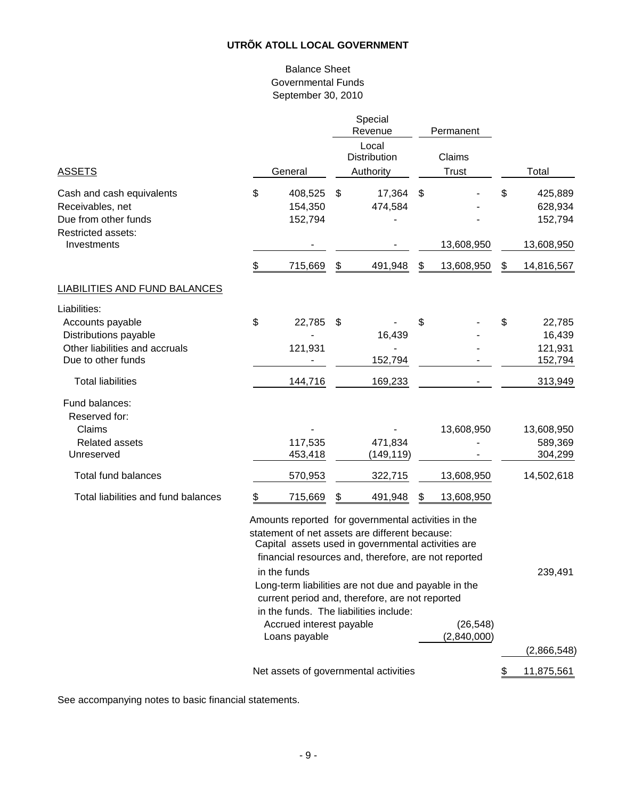## Balance Sheet Governmental Funds September 30, 2010

|                                                                                                                   |                                     |    | Special<br>Revenue                                                                                                                                                                                                                                                          |    | Permanent              |                                                   |
|-------------------------------------------------------------------------------------------------------------------|-------------------------------------|----|-----------------------------------------------------------------------------------------------------------------------------------------------------------------------------------------------------------------------------------------------------------------------------|----|------------------------|---------------------------------------------------|
| <b>ASSETS</b>                                                                                                     | General                             |    | Local<br>Distribution<br>Authority                                                                                                                                                                                                                                          |    | Claims<br><b>Trust</b> | Total                                             |
| Cash and cash equivalents<br>Receivables, net<br>Due from other funds<br>Restricted assets:<br>Investments        | \$<br>408,525<br>154,350<br>152,794 | \$ | 17,364<br>474,584                                                                                                                                                                                                                                                           | \$ | 13,608,950             | \$<br>425,889<br>628,934<br>152,794<br>13,608,950 |
|                                                                                                                   | \$<br>715,669                       | \$ | 491,948                                                                                                                                                                                                                                                                     | \$ | 13,608,950             | \$<br>14,816,567                                  |
| <b>LIABILITIES AND FUND BALANCES</b>                                                                              |                                     |    |                                                                                                                                                                                                                                                                             |    |                        |                                                   |
| Liabilities:<br>Accounts payable<br>Distributions payable<br>Other liabilities and accruals<br>Due to other funds | \$<br>22,785<br>121,931             | S  | 16,439<br>152,794                                                                                                                                                                                                                                                           | S  |                        | \$<br>22,785<br>16,439<br>121,931<br>152,794      |
| <b>Total liabilities</b>                                                                                          | 144,716                             |    | 169,233                                                                                                                                                                                                                                                                     |    |                        | 313,949                                           |
| Fund balances:<br>Reserved for:<br>Claims<br><b>Related assets</b><br>Unreserved                                  | 117,535<br>453,418                  |    | 471,834<br>(149, 119)                                                                                                                                                                                                                                                       |    | 13,608,950             | 13,608,950<br>589,369<br>304,299                  |
| <b>Total fund balances</b>                                                                                        | 570,953                             |    | 322,715                                                                                                                                                                                                                                                                     |    | 13,608,950             | 14,502,618                                        |
| Total liabilities and fund balances                                                                               | \$<br>715,669                       | \$ | 491,948                                                                                                                                                                                                                                                                     | \$ | 13,608,950             |                                                   |
|                                                                                                                   | in the funds                        |    | Amounts reported for governmental activities in the<br>statement of net assets are different because:<br>Capital assets used in governmental activities are<br>financial resources and, therefore, are not reported<br>Long-term liabilities are not due and payable in the |    |                        | 239,491                                           |
|                                                                                                                   |                                     |    | current period and, therefore, are not reported<br>in the funds. The liabilities include:                                                                                                                                                                                   |    |                        |                                                   |

Accrued interest payable (26,548)<br>Loans payable (2,840,000) Loans payable (2,866,548) Net assets of governmental activities  $$ 11,875,561$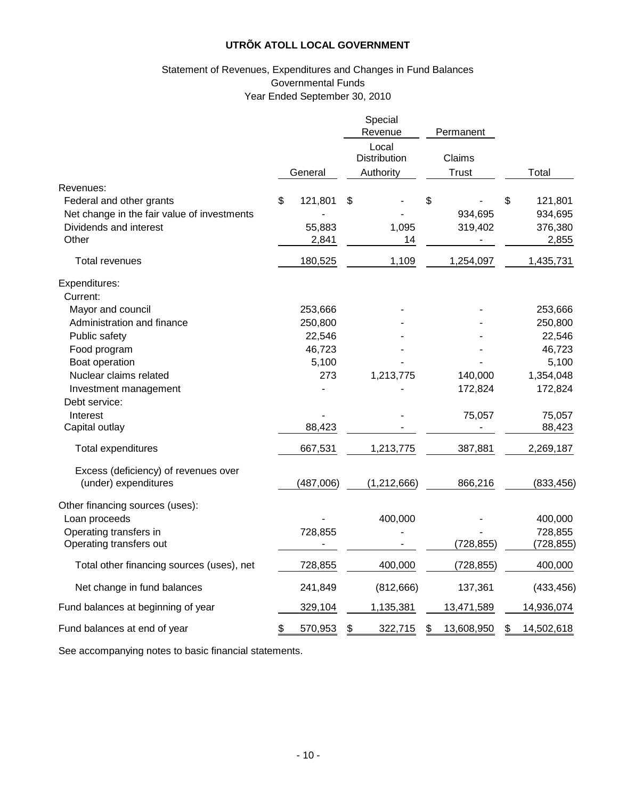## Statement of Revenues, Expenditures and Changes in Fund Balances Governmental Funds Year Ended September 30, 2010

|                                                                                                            |                                  | Special<br>Revenue                 | Permanent                |                                              |
|------------------------------------------------------------------------------------------------------------|----------------------------------|------------------------------------|--------------------------|----------------------------------------------|
|                                                                                                            | General                          | Local<br>Distribution<br>Authority | Claims<br><b>Trust</b>   | Total                                        |
| Revenues:                                                                                                  |                                  |                                    |                          |                                              |
| Federal and other grants<br>Net change in the fair value of investments<br>Dividends and interest<br>Other | \$<br>121,801<br>55,883<br>2,841 | \$<br>1,095<br>14                  | \$<br>934,695<br>319,402 | \$<br>121,801<br>934,695<br>376,380<br>2,855 |
| <b>Total revenues</b>                                                                                      | 180,525                          | 1,109                              | 1,254,097                | 1,435,731                                    |
|                                                                                                            |                                  |                                    |                          |                                              |
| Expenditures:<br>Current:                                                                                  |                                  |                                    |                          |                                              |
| Mayor and council                                                                                          | 253,666                          |                                    |                          | 253,666                                      |
| Administration and finance                                                                                 | 250,800                          |                                    |                          | 250,800                                      |
| Public safety                                                                                              | 22,546                           |                                    |                          | 22,546                                       |
| Food program                                                                                               | 46,723                           |                                    |                          | 46,723                                       |
| Boat operation                                                                                             | 5,100                            |                                    |                          | 5,100                                        |
| Nuclear claims related                                                                                     | 273                              | 1,213,775                          | 140,000                  | 1,354,048                                    |
| Investment management                                                                                      |                                  |                                    | 172,824                  | 172,824                                      |
| Debt service:                                                                                              |                                  |                                    |                          |                                              |
| Interest                                                                                                   |                                  |                                    | 75,057                   | 75,057                                       |
| Capital outlay                                                                                             | 88,423                           |                                    |                          | 88,423                                       |
| Total expenditures                                                                                         | 667,531                          | 1,213,775                          | 387,881                  | 2,269,187                                    |
| Excess (deficiency) of revenues over<br>(under) expenditures                                               | (487,006)                        | (1, 212, 666)                      | 866,216                  | (833, 456)                                   |
| Other financing sources (uses):                                                                            |                                  |                                    |                          |                                              |
| Loan proceeds                                                                                              |                                  | 400,000                            |                          | 400,000                                      |
| Operating transfers in                                                                                     | 728,855                          |                                    |                          | 728,855                                      |
| Operating transfers out                                                                                    |                                  |                                    | (728, 855)               | (728, 855)                                   |
| Total other financing sources (uses), net                                                                  | 728,855                          | 400,000                            | (728, 855)               | 400,000                                      |
| Net change in fund balances                                                                                | 241,849                          | (812, 666)                         | 137,361                  | (433, 456)                                   |
| Fund balances at beginning of year                                                                         | 329,104                          | 1,135,381                          | 13,471,589               | 14,936,074                                   |
| Fund balances at end of year                                                                               | \$<br>570,953                    | \$<br>322,715                      | \$<br>13,608,950         | \$<br>14,502,618                             |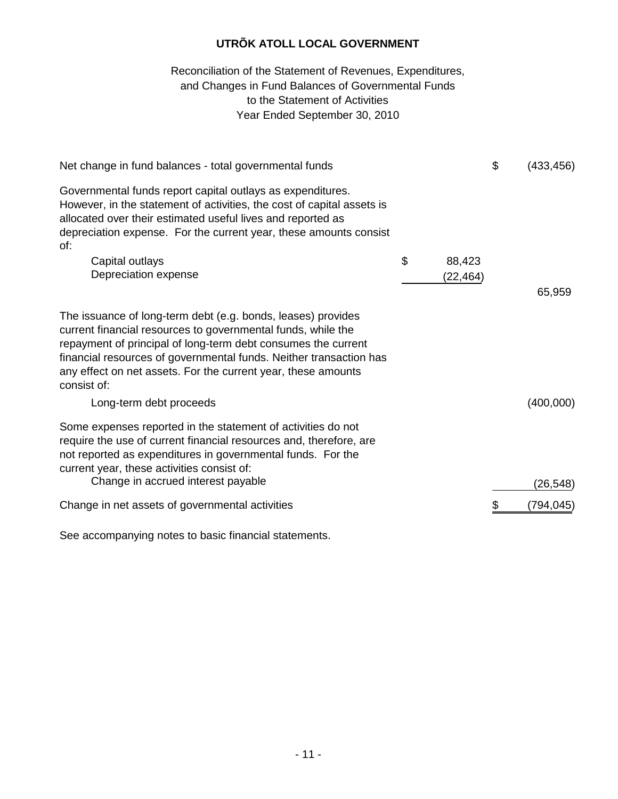# to the Statement of Activities Year Ended September 30, 2010 Reconciliation of the Statement of Revenues, Expenditures, and Changes in Fund Balances of Governmental Funds

| Net change in fund balances - total governmental funds                                                                                                                                                                                                                                                                                              |              | \$<br>(433, 456) |
|-----------------------------------------------------------------------------------------------------------------------------------------------------------------------------------------------------------------------------------------------------------------------------------------------------------------------------------------------------|--------------|------------------|
| Governmental funds report capital outlays as expenditures.<br>However, in the statement of activities, the cost of capital assets is<br>allocated over their estimated useful lives and reported as<br>depreciation expense. For the current year, these amounts consist<br>of:                                                                     |              |                  |
| Capital outlays                                                                                                                                                                                                                                                                                                                                     | \$<br>88,423 |                  |
| Depreciation expense                                                                                                                                                                                                                                                                                                                                | (22, 464)    |                  |
|                                                                                                                                                                                                                                                                                                                                                     |              | 65,959           |
| The issuance of long-term debt (e.g. bonds, leases) provides<br>current financial resources to governmental funds, while the<br>repayment of principal of long-term debt consumes the current<br>financial resources of governmental funds. Neither transaction has<br>any effect on net assets. For the current year, these amounts<br>consist of: |              |                  |
| Long-term debt proceeds                                                                                                                                                                                                                                                                                                                             |              | (400,000)        |
| Some expenses reported in the statement of activities do not<br>require the use of current financial resources and, therefore, are<br>not reported as expenditures in governmental funds. For the<br>current year, these activities consist of:                                                                                                     |              |                  |
| Change in accrued interest payable                                                                                                                                                                                                                                                                                                                  |              | (26, 548)        |
| Change in net assets of governmental activities                                                                                                                                                                                                                                                                                                     |              | (794,045)        |
|                                                                                                                                                                                                                                                                                                                                                     |              |                  |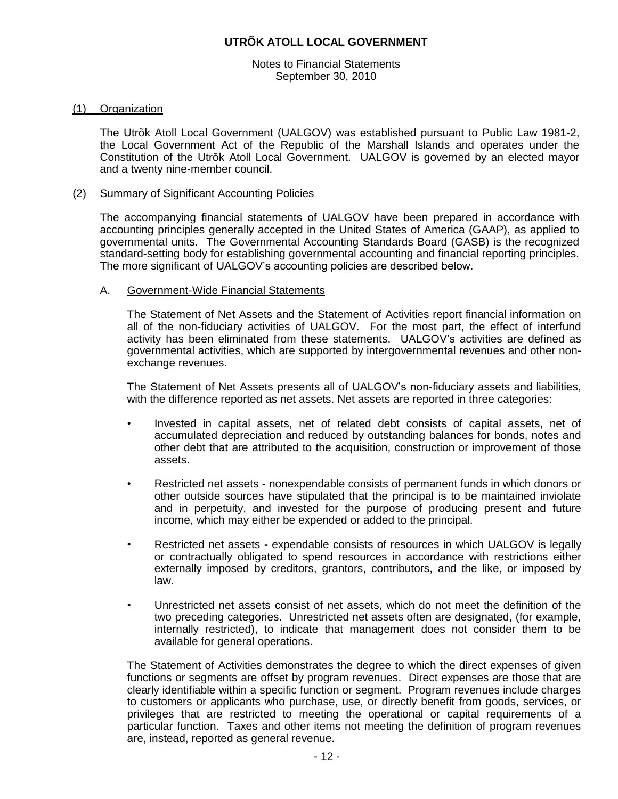Notes to Financial Statements September 30, 2010

#### (1) Organization

The Utrõk Atoll Local Government (UALGOV) was established pursuant to Public Law 1981-2, the Local Government Act of the Republic of the Marshall Islands and operates under the Constitution of the Utrõk Atoll Local Government. UALGOV is governed by an elected mayor and a twenty nine-member council.

#### (2) Summary of Significant Accounting Policies

The accompanying financial statements of UALGOV have been prepared in accordance with accounting principles generally accepted in the United States of America (GAAP), as applied to governmental units. The Governmental Accounting Standards Board (GASB) is the recognized standard-setting body for establishing governmental accounting and financial reporting principles. The more significant of UALGOV's accounting policies are described below.

#### A. Government-Wide Financial Statements

The Statement of Net Assets and the Statement of Activities report financial information on all of the non-fiduciary activities of UALGOV. For the most part, the effect of interfund activity has been eliminated from these statements. UALGOV's activities are defined as governmental activities, which are supported by intergovernmental revenues and other nonexchange revenues.

The Statement of Net Assets presents all of UALGOV's non-fiduciary assets and liabilities, with the difference reported as net assets. Net assets are reported in three categories:

- Invested in capital assets, net of related debt consists of capital assets, net of accumulated depreciation and reduced by outstanding balances for bonds, notes and other debt that are attributed to the acquisition, construction or improvement of those assets.
- Restricted net assets nonexpendable consists of permanent funds in which donors or other outside sources have stipulated that the principal is to be maintained inviolate and in perpetuity, and invested for the purpose of producing present and future income, which may either be expended or added to the principal.
- Restricted net assets **-** expendable consists of resources in which UALGOV is legally or contractually obligated to spend resources in accordance with restrictions either externally imposed by creditors, grantors, contributors, and the like, or imposed by law.
- Unrestricted net assets consist of net assets, which do not meet the definition of the two preceding categories. Unrestricted net assets often are designated, (for example, internally restricted), to indicate that management does not consider them to be available for general operations.

The Statement of Activities demonstrates the degree to which the direct expenses of given functions or segments are offset by program revenues. Direct expenses are those that are clearly identifiable within a specific function or segment. Program revenues include charges to customers or applicants who purchase, use, or directly benefit from goods, services, or privileges that are restricted to meeting the operational or capital requirements of a particular function. Taxes and other items not meeting the definition of program revenues are, instead, reported as general revenue.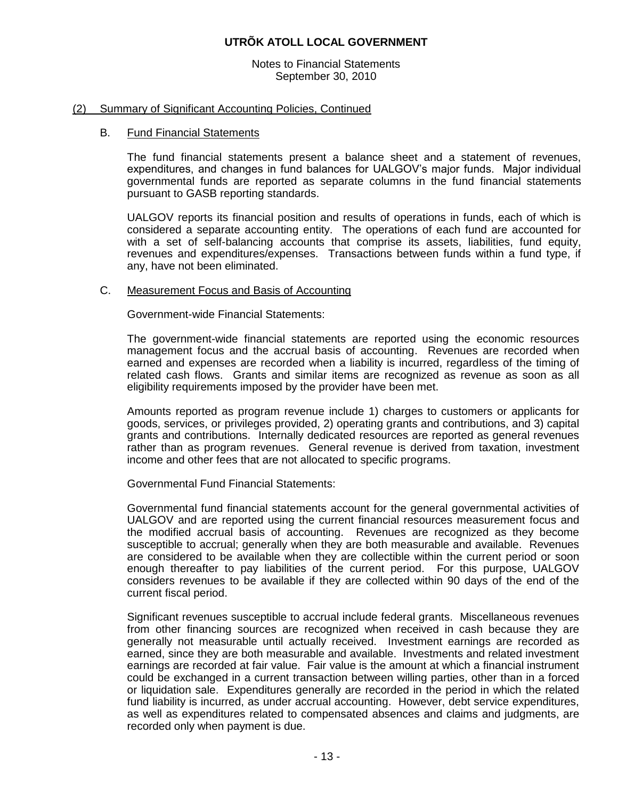Notes to Financial Statements September 30, 2010

#### (2) Summary of Significant Accounting Policies, Continued

#### B. Fund Financial Statements

The fund financial statements present a balance sheet and a statement of revenues, expenditures, and changes in fund balances for UALGOV's major funds. Major individual governmental funds are reported as separate columns in the fund financial statements pursuant to GASB reporting standards.

UALGOV reports its financial position and results of operations in funds, each of which is considered a separate accounting entity. The operations of each fund are accounted for with a set of self-balancing accounts that comprise its assets, liabilities, fund equity, revenues and expenditures/expenses. Transactions between funds within a fund type, if any, have not been eliminated.

#### C. Measurement Focus and Basis of Accounting

Government-wide Financial Statements:

The government-wide financial statements are reported using the economic resources management focus and the accrual basis of accounting. Revenues are recorded when earned and expenses are recorded when a liability is incurred, regardless of the timing of related cash flows. Grants and similar items are recognized as revenue as soon as all eligibility requirements imposed by the provider have been met.

Amounts reported as program revenue include 1) charges to customers or applicants for goods, services, or privileges provided, 2) operating grants and contributions, and 3) capital grants and contributions. Internally dedicated resources are reported as general revenues rather than as program revenues. General revenue is derived from taxation, investment income and other fees that are not allocated to specific programs.

Governmental Fund Financial Statements:

Governmental fund financial statements account for the general governmental activities of UALGOV and are reported using the current financial resources measurement focus and the modified accrual basis of accounting. Revenues are recognized as they become susceptible to accrual; generally when they are both measurable and available. Revenues are considered to be available when they are collectible within the current period or soon enough thereafter to pay liabilities of the current period. For this purpose, UALGOV considers revenues to be available if they are collected within 90 days of the end of the current fiscal period.

Significant revenues susceptible to accrual include federal grants. Miscellaneous revenues from other financing sources are recognized when received in cash because they are generally not measurable until actually received. Investment earnings are recorded as earned, since they are both measurable and available. Investments and related investment earnings are recorded at fair value. Fair value is the amount at which a financial instrument could be exchanged in a current transaction between willing parties, other than in a forced or liquidation sale. Expenditures generally are recorded in the period in which the related fund liability is incurred, as under accrual accounting. However, debt service expenditures, as well as expenditures related to compensated absences and claims and judgments, are recorded only when payment is due.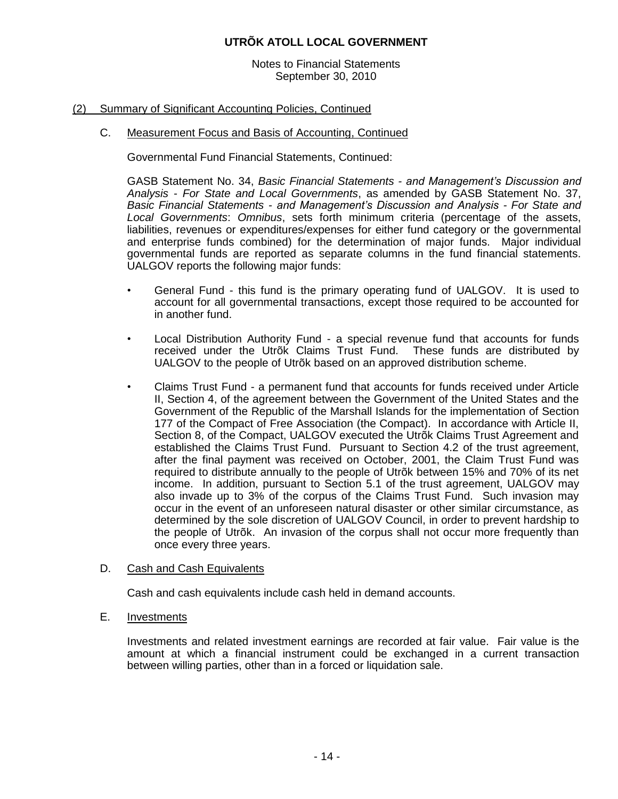Notes to Financial Statements September 30, 2010

#### (2) Summary of Significant Accounting Policies, Continued

## C. Measurement Focus and Basis of Accounting, Continued

Governmental Fund Financial Statements, Continued:

GASB Statement No. 34, *Basic Financial Statements - and Management's Discussion and Analysis - For State and Local Governments*, as amended by GASB Statement No. 37, *Basic Financial Statements - and Management's Discussion and Analysis - For State and Local Governments*: *Omnibus*, sets forth minimum criteria (percentage of the assets, liabilities, revenues or expenditures/expenses for either fund category or the governmental and enterprise funds combined) for the determination of major funds. Major individual governmental funds are reported as separate columns in the fund financial statements. UALGOV reports the following major funds:

- General Fund this fund is the primary operating fund of UALGOV. It is used to account for all governmental transactions, except those required to be accounted for in another fund.
- Local Distribution Authority Fund a special revenue fund that accounts for funds received under the Utrõk Claims Trust Fund. These funds are distributed by UALGOV to the people of Utrõk based on an approved distribution scheme.
- Claims Trust Fund a permanent fund that accounts for funds received under Article II, Section 4, of the agreement between the Government of the United States and the Government of the Republic of the Marshall Islands for the implementation of Section 177 of the Compact of Free Association (the Compact). In accordance with Article II, Section 8, of the Compact, UALGOV executed the Utrõk Claims Trust Agreement and established the Claims Trust Fund. Pursuant to Section 4.2 of the trust agreement, after the final payment was received on October, 2001, the Claim Trust Fund was required to distribute annually to the people of Utrõk between 15% and 70% of its net income. In addition, pursuant to Section 5.1 of the trust agreement, UALGOV may also invade up to 3% of the corpus of the Claims Trust Fund. Such invasion may occur in the event of an unforeseen natural disaster or other similar circumstance, as determined by the sole discretion of UALGOV Council, in order to prevent hardship to the people of Utrõk. An invasion of the corpus shall not occur more frequently than once every three years.

#### D. Cash and Cash Equivalents

Cash and cash equivalents include cash held in demand accounts.

E. Investments

Investments and related investment earnings are recorded at fair value. Fair value is the amount at which a financial instrument could be exchanged in a current transaction between willing parties, other than in a forced or liquidation sale.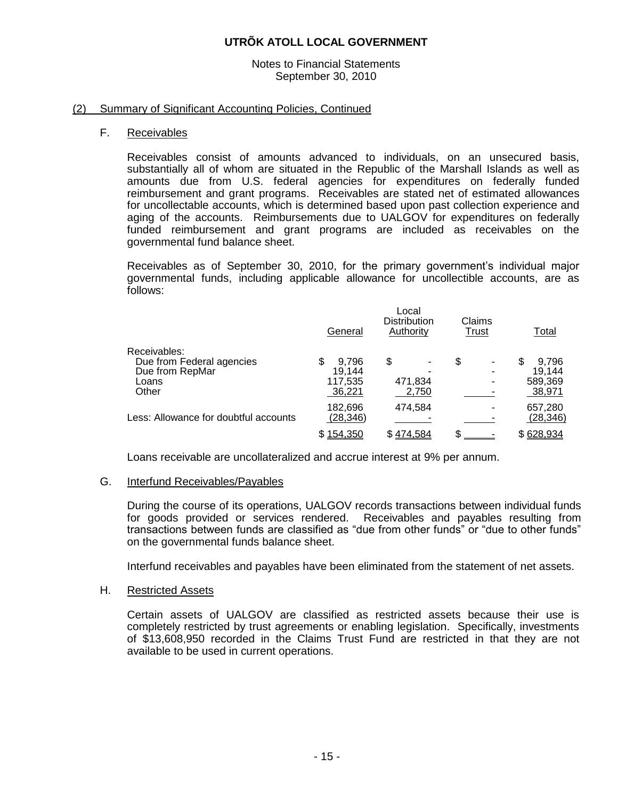#### Notes to Financial Statements September 30, 2010

#### (2) Summary of Significant Accounting Policies, Continued

#### F. Receivables

Receivables consist of amounts advanced to individuals, on an unsecured basis, substantially all of whom are situated in the Republic of the Marshall Islands as well as amounts due from U.S. federal agencies for expenditures on federally funded reimbursement and grant programs. Receivables are stated net of estimated allowances for uncollectable accounts, which is determined based upon past collection experience and aging of the accounts. Reimbursements due to UALGOV for expenditures on federally funded reimbursement and grant programs are included as receivables on the governmental fund balance sheet.

Receivables as of September 30, 2010, for the primary government's individual major governmental funds, including applicable allowance for uncollectible accounts, are as follows:

|                                       | General   | Local<br><b>Distribution</b><br>Authority | Claims<br>Trust | Total      |
|---------------------------------------|-----------|-------------------------------------------|-----------------|------------|
| Receivables:                          |           |                                           |                 |            |
| Due from Federal agencies             | 9.796     | \$                                        | \$              | 9.796<br>S |
| Due from RepMar                       | 19.144    |                                           |                 | 19,144     |
| Loans                                 | 117,535   | 471,834                                   |                 | 589,369    |
| Other                                 | 36,221    | 2,750                                     |                 | 38,971     |
|                                       | 182,696   | 474.584                                   |                 | 657,280    |
| Less: Allowance for doubtful accounts | (28, 346) |                                           |                 | (28, 346)  |
|                                       | \$154,350 | \$474,584                                 | \$              | \$628,934  |

Loans receivable are uncollateralized and accrue interest at 9% per annum.

#### G. Interfund Receivables/Payables

During the course of its operations, UALGOV records transactions between individual funds for goods provided or services rendered. Receivables and payables resulting from transactions between funds are classified as "due from other funds" or "due to other funds" on the governmental funds balance sheet.

Interfund receivables and payables have been eliminated from the statement of net assets.

#### H. Restricted Assets

Certain assets of UALGOV are classified as restricted assets because their use is completely restricted by trust agreements or enabling legislation. Specifically, investments of \$13,608,950 recorded in the Claims Trust Fund are restricted in that they are not available to be used in current operations.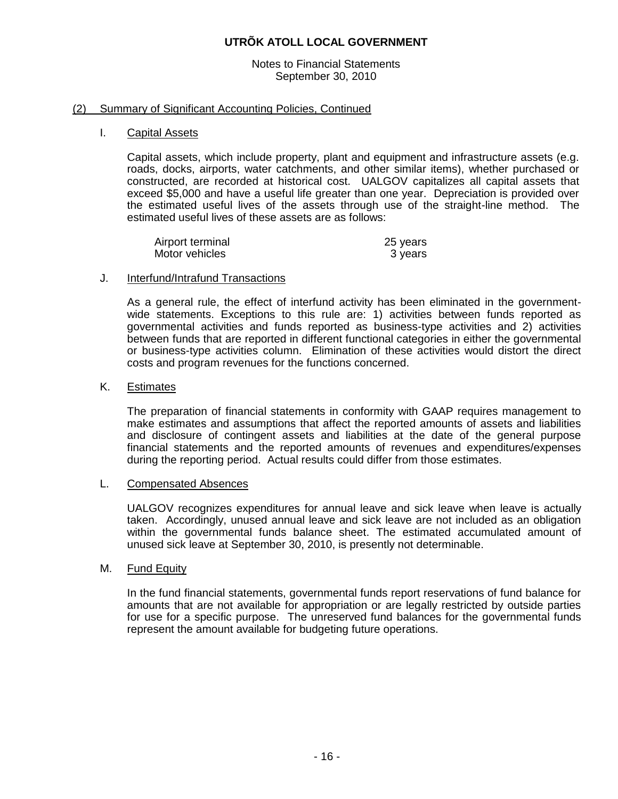Notes to Financial Statements September 30, 2010

#### (2) Summary of Significant Accounting Policies, Continued

#### I. Capital Assets

Capital assets, which include property, plant and equipment and infrastructure assets (e.g. roads, docks, airports, water catchments, and other similar items), whether purchased or constructed, are recorded at historical cost. UALGOV capitalizes all capital assets that exceed \$5,000 and have a useful life greater than one year. Depreciation is provided over the estimated useful lives of the assets through use of the straight-line method. The estimated useful lives of these assets are as follows:

| Airport terminal | 25 years |
|------------------|----------|
| Motor vehicles   | 3 years  |

#### J. Interfund/Intrafund Transactions

As a general rule, the effect of interfund activity has been eliminated in the governmentwide statements. Exceptions to this rule are: 1) activities between funds reported as governmental activities and funds reported as business-type activities and 2) activities between funds that are reported in different functional categories in either the governmental or business-type activities column. Elimination of these activities would distort the direct costs and program revenues for the functions concerned.

#### K. Estimates

The preparation of financial statements in conformity with GAAP requires management to make estimates and assumptions that affect the reported amounts of assets and liabilities and disclosure of contingent assets and liabilities at the date of the general purpose financial statements and the reported amounts of revenues and expenditures/expenses during the reporting period. Actual results could differ from those estimates.

#### L. Compensated Absences

UALGOV recognizes expenditures for annual leave and sick leave when leave is actually taken. Accordingly, unused annual leave and sick leave are not included as an obligation within the governmental funds balance sheet. The estimated accumulated amount of unused sick leave at September 30, 2010, is presently not determinable.

#### M. Fund Equity

In the fund financial statements, governmental funds report reservations of fund balance for amounts that are not available for appropriation or are legally restricted by outside parties for use for a specific purpose. The unreserved fund balances for the governmental funds represent the amount available for budgeting future operations.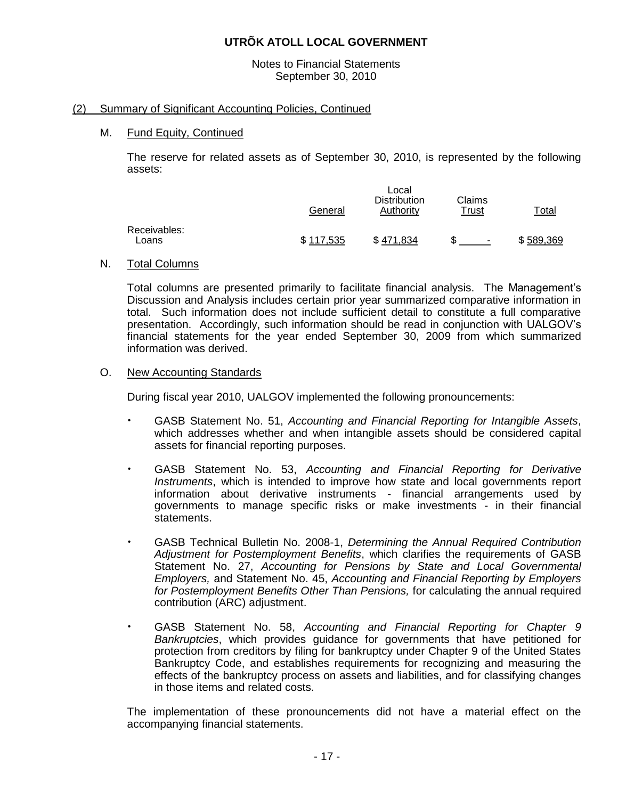Notes to Financial Statements September 30, 2010

#### (2) Summary of Significant Accounting Policies, Continued

#### M. Fund Equity, Continued

The reserve for related assets as of September 30, 2010, is represented by the following assets:

|                       | General   | ∟ocal<br><b>Distribution</b><br>Authority | Claims<br>Trust | Total     |
|-----------------------|-----------|-------------------------------------------|-----------------|-----------|
| Receivables:<br>Loans | \$117,535 | \$471.834                                 | ۰               | \$589,369 |

#### N. Total Columns

Total columns are presented primarily to facilitate financial analysis. The Management's Discussion and Analysis includes certain prior year summarized comparative information in total. Such information does not include sufficient detail to constitute a full comparative presentation. Accordingly, such information should be read in conjunction with UALGOV's financial statements for the year ended September 30, 2009 from which summarized information was derived.

#### O. New Accounting Standards

During fiscal year 2010, UALGOV implemented the following pronouncements:

- GASB Statement No. 51, *Accounting and Financial Reporting for Intangible Assets*, which addresses whether and when intangible assets should be considered capital assets for financial reporting purposes.
- GASB Statement No. 53, *Accounting and Financial Reporting for Derivative Instruments*, which is intended to improve how state and local governments report information about derivative instruments - financial arrangements used by governments to manage specific risks or make investments - in their financial statements.
- GASB Technical Bulletin No. 2008-1, *Determining the Annual Required Contribution Adjustment for Postemployment Benefits*, which clarifies the requirements of GASB Statement No. 27, *Accounting for Pensions by State and Local Governmental Employers,* and Statement No. 45, *Accounting and Financial Reporting by Employers for Postemployment Benefits Other Than Pensions,* for calculating the annual required contribution (ARC) adjustment.
- GASB Statement No. 58, *Accounting and Financial Reporting for Chapter 9 Bankruptcies*, which provides guidance for governments that have petitioned for protection from creditors by filing for bankruptcy under Chapter 9 of the United States Bankruptcy Code, and establishes requirements for recognizing and measuring the effects of the bankruptcy process on assets and liabilities, and for classifying changes in those items and related costs.

The implementation of these pronouncements did not have a material effect on the accompanying financial statements.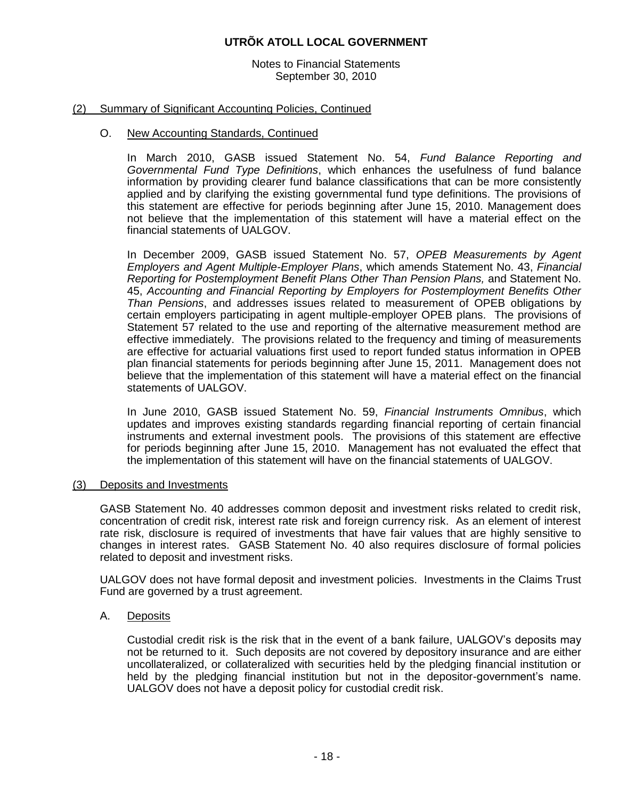Notes to Financial Statements September 30, 2010

#### (2) Summary of Significant Accounting Policies, Continued

#### O. New Accounting Standards, Continued

In March 2010, GASB issued Statement No. 54, *Fund Balance Reporting and Governmental Fund Type Definitions*, which enhances the usefulness of fund balance information by providing clearer fund balance classifications that can be more consistently applied and by clarifying the existing governmental fund type definitions. The provisions of this statement are effective for periods beginning after June 15, 2010. Management does not believe that the implementation of this statement will have a material effect on the financial statements of UALGOV.

In December 2009, GASB issued Statement No. 57, *OPEB Measurements by Agent Employers and Agent Multiple-Employer Plans*, which amends Statement No. 43, *Financial Reporting for Postemployment Benefit Plans Other Than Pension Plans,* and Statement No. 45, *Accounting and Financial Reporting by Employers for Postemployment Benefits Other Than Pensions*, and addresses issues related to measurement of OPEB obligations by certain employers participating in agent multiple-employer OPEB plans. The provisions of Statement 57 related to the use and reporting of the alternative measurement method are effective immediately. The provisions related to the frequency and timing of measurements are effective for actuarial valuations first used to report funded status information in OPEB plan financial statements for periods beginning after June 15, 2011. Management does not believe that the implementation of this statement will have a material effect on the financial statements of UALGOV.

In June 2010, GASB issued Statement No. 59, *Financial Instruments Omnibus*, which updates and improves existing standards regarding financial reporting of certain financial instruments and external investment pools. The provisions of this statement are effective for periods beginning after June 15, 2010. Management has not evaluated the effect that the implementation of this statement will have on the financial statements of UALGOV.

#### (3) Deposits and Investments

GASB Statement No. 40 addresses common deposit and investment risks related to credit risk, concentration of credit risk, interest rate risk and foreign currency risk. As an element of interest rate risk, disclosure is required of investments that have fair values that are highly sensitive to changes in interest rates. GASB Statement No. 40 also requires disclosure of formal policies related to deposit and investment risks.

UALGOV does not have formal deposit and investment policies. Investments in the Claims Trust Fund are governed by a trust agreement.

#### A. Deposits

Custodial credit risk is the risk that in the event of a bank failure, UALGOV's deposits may not be returned to it. Such deposits are not covered by depository insurance and are either uncollateralized, or collateralized with securities held by the pledging financial institution or held by the pledging financial institution but not in the depositor-government's name. UALGOV does not have a deposit policy for custodial credit risk.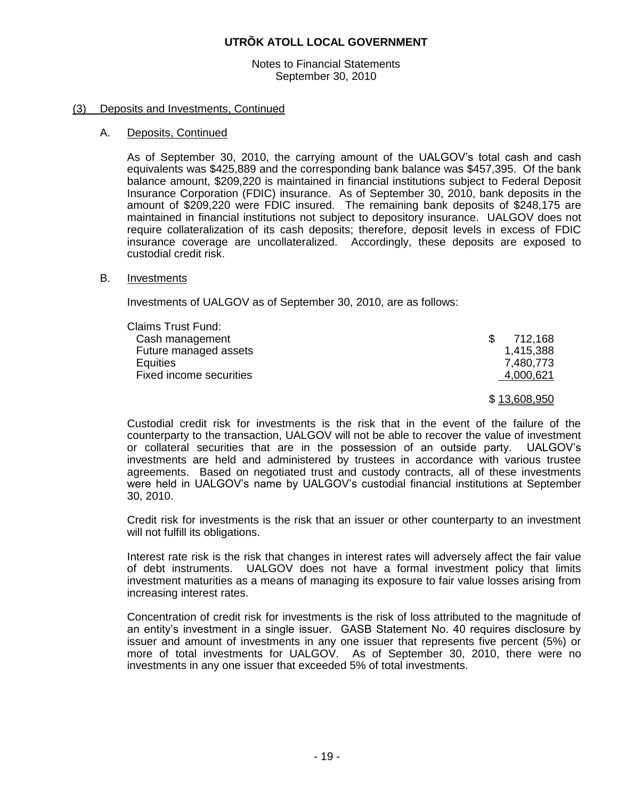Notes to Financial Statements September 30, 2010

#### (3) Deposits and Investments, Continued

#### A. Deposits, Continued

As of September 30, 2010, the carrying amount of the UALGOV's total cash and cash equivalents was \$425,889 and the corresponding bank balance was \$457,395. Of the bank balance amount, \$209,220 is maintained in financial institutions subject to Federal Deposit Insurance Corporation (FDIC) insurance. As of September 30, 2010, bank deposits in the amount of \$209,220 were FDIC insured. The remaining bank deposits of \$248,175 are maintained in financial institutions not subject to depository insurance. UALGOV does not require collateralization of its cash deposits; therefore, deposit levels in excess of FDIC insurance coverage are uncollateralized. Accordingly, these deposits are exposed to custodial credit risk.

#### B. Investments

Investments of UALGOV as of September 30, 2010, are as follows:

| <b>Claims Trust Fund:</b> |                |
|---------------------------|----------------|
| Cash management           | 712,168<br>\$. |
| Future managed assets     | 1,415,388      |
| Equities                  | 7,480,773      |
| Fixed income securities   | 4,000,621      |
|                           | \$13,608,950   |

Custodial credit risk for investments is the risk that in the event of the failure of the counterparty to the transaction, UALGOV will not be able to recover the value of investment or collateral securities that are in the possession of an outside party. UALGOV's investments are held and administered by trustees in accordance with various trustee agreements. Based on negotiated trust and custody contracts, all of these investments were held in UALGOV's name by UALGOV's custodial financial institutions at September 30, 2010.

Credit risk for investments is the risk that an issuer or other counterparty to an investment will not fulfill its obligations.

Interest rate risk is the risk that changes in interest rates will adversely affect the fair value of debt instruments. UALGOV does not have a formal investment policy that limits investment maturities as a means of managing its exposure to fair value losses arising from increasing interest rates.

Concentration of credit risk for investments is the risk of loss attributed to the magnitude of an entity's investment in a single issuer. GASB Statement No. 40 requires disclosure by issuer and amount of investments in any one issuer that represents five percent (5%) or more of total investments for UALGOV. As of September 30, 2010, there were no investments in any one issuer that exceeded 5% of total investments.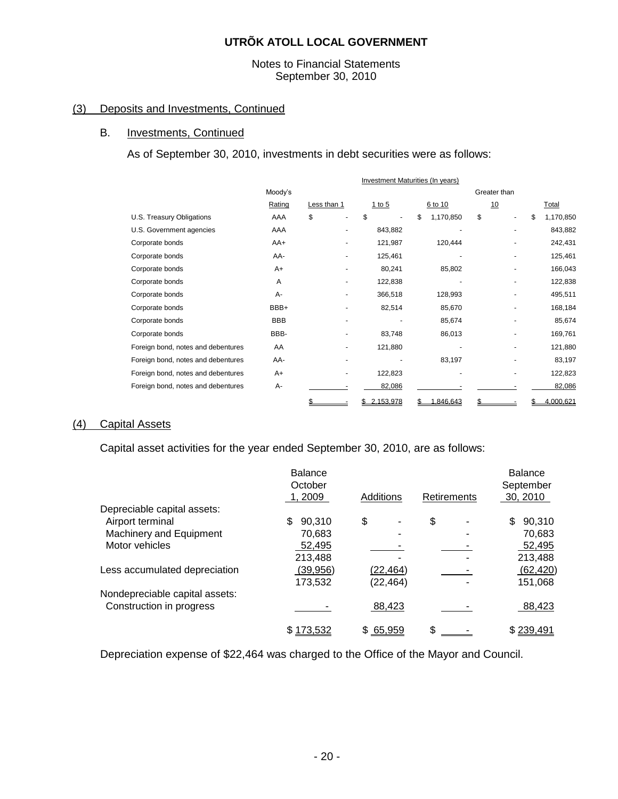#### Notes to Financial Statements September 30, 2010

# (3) Deposits and Investments, Continued

#### B. Investments, Continued

As of September 30, 2010, investments in debt securities were as follows:

|                                    | Investment Maturities (In years) |             |  |             |                 |  |              |     |           |
|------------------------------------|----------------------------------|-------------|--|-------------|-----------------|--|--------------|-----|-----------|
|                                    | Moody's                          |             |  |             |                 |  | Greater than |     |           |
|                                    | Rating                           | Less than 1 |  | 1 to $5$    | 6 to 10         |  | 10           |     | Total     |
| U.S. Treasury Obligations          | AAA                              | \$          |  | \$          | \$<br>1,170,850 |  | \$           | \$  | 1,170,850 |
| U.S. Government agencies           | AAA                              |             |  | 843,882     |                 |  |              |     | 843,882   |
| Corporate bonds                    | AA+                              |             |  | 121,987     | 120,444         |  |              |     | 242,431   |
| Corporate bonds                    | AA-                              |             |  | 125,461     |                 |  |              |     | 125,461   |
| Corporate bonds                    | A+                               |             |  | 80,241      | 85,802          |  |              |     | 166,043   |
| Corporate bonds                    | A                                |             |  | 122,838     |                 |  |              |     | 122,838   |
| Corporate bonds                    | A-                               |             |  | 366,518     | 128,993         |  |              |     | 495,511   |
| Corporate bonds                    | BBB+                             |             |  | 82,514      | 85,670          |  |              |     | 168,184   |
| Corporate bonds                    | <b>BBB</b>                       |             |  |             | 85,674          |  |              |     | 85,674    |
| Corporate bonds                    | BBB-                             |             |  | 83,748      | 86,013          |  |              |     | 169,761   |
| Foreign bond, notes and debentures | AA                               |             |  | 121,880     |                 |  |              |     | 121,880   |
| Foreign bond, notes and debentures | AA-                              |             |  |             | 83,197          |  |              |     | 83,197    |
| Foreign bond, notes and debentures | $A+$                             |             |  | 122,823     |                 |  |              |     | 122,823   |
| Foreign bond, notes and debentures | A-                               |             |  | 82,086      |                 |  |              |     | 82,086    |
|                                    |                                  | \$          |  | \$2.153.978 | 1.846.643<br>S  |  | \$           | \$. | 4.000.621 |

#### (4) Capital Assets

Capital asset activities for the year ended September 30, 2010, are as follows:

|                                | <b>Balance</b> |           |             | <b>Balance</b> |
|--------------------------------|----------------|-----------|-------------|----------------|
|                                | October        |           |             | September      |
|                                | 1,2009         | Additions | Retirements | 30, 2010       |
| Depreciable capital assets:    |                |           |             |                |
| Airport terminal               | 90,310<br>\$.  | \$        | \$          | 90,310<br>\$   |
| Machinery and Equipment        | 70,683         |           |             | 70,683         |
| Motor vehicles                 | 52,495         |           |             | 52,495         |
|                                | 213,488        |           |             | 213,488        |
| Less accumulated depreciation  | (39, 956)      | (22, 464) |             | (62, 420)      |
|                                | 173,532        | (22, 464) |             | 151,068        |
| Nondepreciable capital assets: |                |           |             |                |
| Construction in progress       |                | 88,423    |             | 88,423         |
|                                | \$173,532      | \$65,959  | \$          | \$239,491      |

Depreciation expense of \$22,464 was charged to the Office of the Mayor and Council.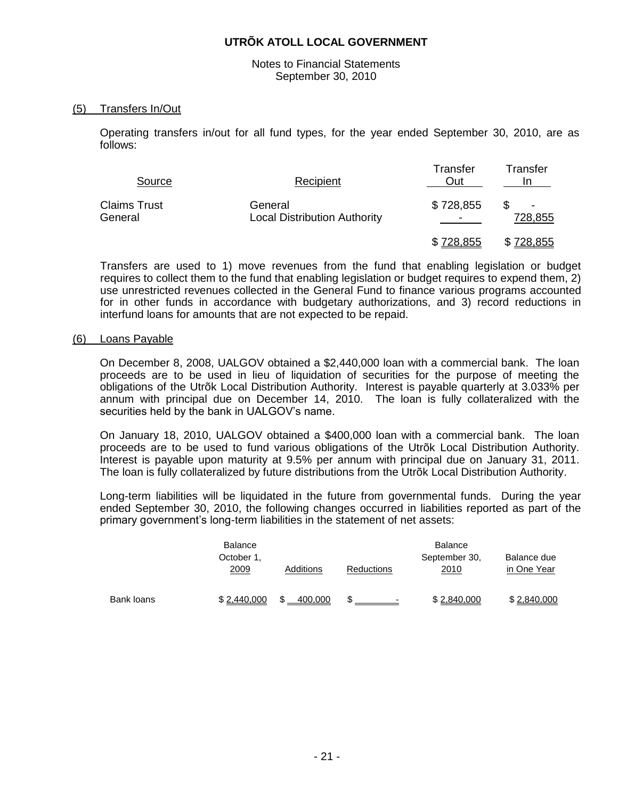Notes to Financial Statements September 30, 2010

#### (5) Transfers In/Out

Operating transfers in/out for all fund types, for the year ended September 30, 2010, are as follows:

| Source                         | Recipient                                      | Transfer<br>Out | Transfer<br>ın |  |
|--------------------------------|------------------------------------------------|-----------------|----------------|--|
| <b>Claims Trust</b><br>General | General<br><b>Local Distribution Authority</b> | \$728,855       | -<br>728,855   |  |
|                                |                                                | \$728,855       | \$728,855      |  |

Transfers are used to 1) move revenues from the fund that enabling legislation or budget requires to collect them to the fund that enabling legislation or budget requires to expend them, 2) use unrestricted revenues collected in the General Fund to finance various programs accounted for in other funds in accordance with budgetary authorizations, and 3) record reductions in interfund loans for amounts that are not expected to be repaid.

#### (6) Loans Payable

On December 8, 2008, UALGOV obtained a \$2,440,000 loan with a commercial bank. The loan proceeds are to be used in lieu of liquidation of securities for the purpose of meeting the obligations of the Utrõk Local Distribution Authority. Interest is payable quarterly at 3.033% per annum with principal due on December 14, 2010. The loan is fully collateralized with the securities held by the bank in UALGOV's name.

On January 18, 2010, UALGOV obtained a \$400,000 loan with a commercial bank. The loan proceeds are to be used to fund various obligations of the Utrõk Local Distribution Authority. Interest is payable upon maturity at 9.5% per annum with principal due on January 31, 2011. The loan is fully collateralized by future distributions from the Utrõk Local Distribution Authority.

Long-term liabilities will be liquidated in the future from governmental funds. During the year ended September 30, 2010, the following changes occurred in liabilities reported as part of the primary government's long-term liabilities in the statement of net assets:

|            | <b>Balance</b><br>October 1,<br>2009 | Additions | <b>Reductions</b> | <b>Balance</b><br>September 30,<br>2010 | Balance due<br>in One Year |
|------------|--------------------------------------|-----------|-------------------|-----------------------------------------|----------------------------|
| Bank loans | \$2,440,000                          | 400.000   |                   | \$2.840.000                             | \$2,840,000                |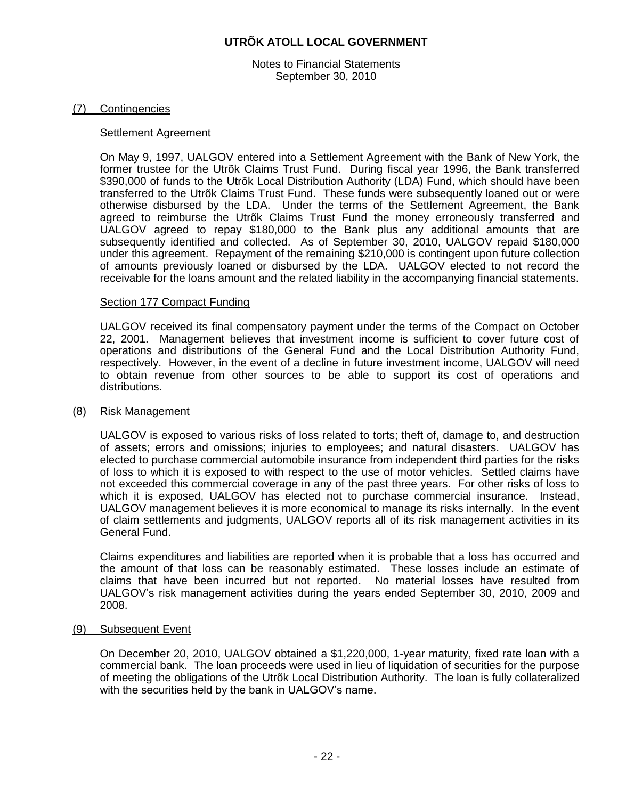Notes to Financial Statements September 30, 2010

#### (7) Contingencies

#### Settlement Agreement

On May 9, 1997, UALGOV entered into a Settlement Agreement with the Bank of New York, the former trustee for the Utrõk Claims Trust Fund. During fiscal year 1996, the Bank transferred \$390,000 of funds to the Utrõk Local Distribution Authority (LDA) Fund, which should have been transferred to the Utrõk Claims Trust Fund. These funds were subsequently loaned out or were otherwise disbursed by the LDA. Under the terms of the Settlement Agreement, the Bank agreed to reimburse the Utrõk Claims Trust Fund the money erroneously transferred and UALGOV agreed to repay \$180,000 to the Bank plus any additional amounts that are subsequently identified and collected. As of September 30, 2010, UALGOV repaid \$180,000 under this agreement. Repayment of the remaining \$210,000 is contingent upon future collection of amounts previously loaned or disbursed by the LDA. UALGOV elected to not record the receivable for the loans amount and the related liability in the accompanying financial statements.

#### Section 177 Compact Funding

UALGOV received its final compensatory payment under the terms of the Compact on October 22, 2001. Management believes that investment income is sufficient to cover future cost of operations and distributions of the General Fund and the Local Distribution Authority Fund, respectively. However, in the event of a decline in future investment income, UALGOV will need to obtain revenue from other sources to be able to support its cost of operations and distributions.

#### (8) Risk Management

UALGOV is exposed to various risks of loss related to torts; theft of, damage to, and destruction of assets; errors and omissions; injuries to employees; and natural disasters. UALGOV has elected to purchase commercial automobile insurance from independent third parties for the risks of loss to which it is exposed to with respect to the use of motor vehicles. Settled claims have not exceeded this commercial coverage in any of the past three years. For other risks of loss to which it is exposed, UALGOV has elected not to purchase commercial insurance. Instead, UALGOV management believes it is more economical to manage its risks internally. In the event of claim settlements and judgments, UALGOV reports all of its risk management activities in its General Fund.

Claims expenditures and liabilities are reported when it is probable that a loss has occurred and the amount of that loss can be reasonably estimated. These losses include an estimate of claims that have been incurred but not reported. No material losses have resulted from UALGOV's risk management activities during the years ended September 30, 2010, 2009 and 2008.

#### (9) Subsequent Event

On December 20, 2010, UALGOV obtained a \$1,220,000, 1-year maturity, fixed rate loan with a commercial bank. The loan proceeds were used in lieu of liquidation of securities for the purpose of meeting the obligations of the Utrõk Local Distribution Authority. The loan is fully collateralized with the securities held by the bank in UALGOV's name.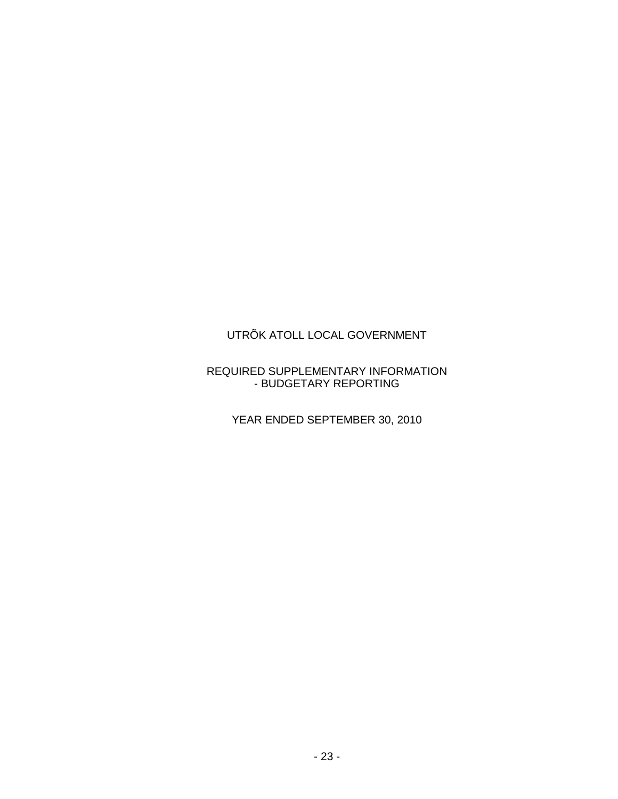## REQUIRED SUPPLEMENTARY INFORMATION - BUDGETARY REPORTING

YEAR ENDED SEPTEMBER 30, 2010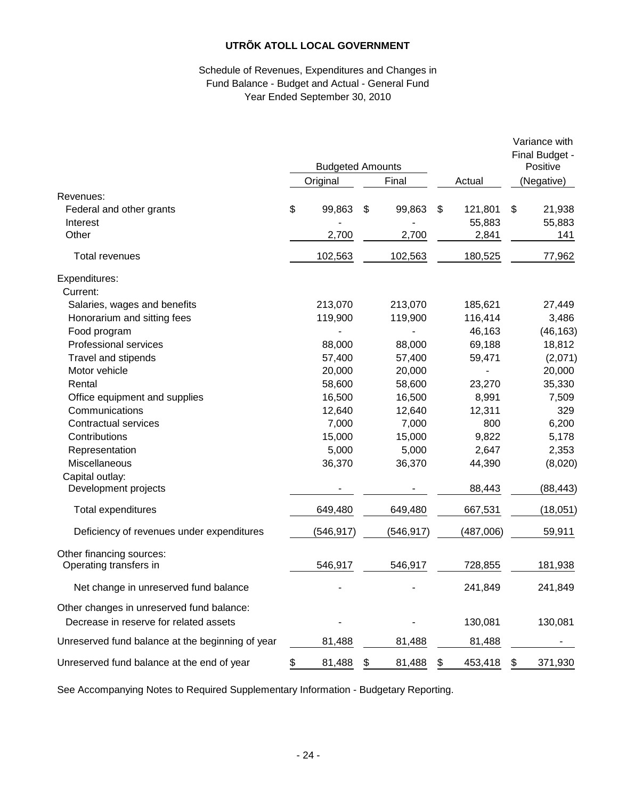## Schedule of Revenues, Expenditures and Changes in Fund Balance - Budget and Actual - General Fund Year Ended September 30, 2010

|                                                  |                   | <b>Budgeted Amounts</b> |              |               |    | Variance with<br>Final Budget -<br>Positive |
|--------------------------------------------------|-------------------|-------------------------|--------------|---------------|----|---------------------------------------------|
|                                                  | Final<br>Original |                         | Actual       | (Negative)    |    |                                             |
| Revenues:                                        |                   |                         |              |               |    |                                             |
| Federal and other grants                         | \$                | 99,863                  | \$<br>99,863 | \$<br>121,801 | \$ | 21,938                                      |
| Interest                                         |                   |                         |              | 55,883        |    | 55,883                                      |
| Other                                            |                   | 2,700                   | 2,700        | 2,841         |    | 141                                         |
| Total revenues                                   |                   | 102,563                 | 102,563      | 180,525       |    | 77,962                                      |
| Expenditures:                                    |                   |                         |              |               |    |                                             |
| Current:                                         |                   |                         |              |               |    |                                             |
| Salaries, wages and benefits                     |                   | 213,070                 | 213,070      | 185,621       |    | 27,449                                      |
| Honorarium and sitting fees                      |                   | 119,900                 | 119,900      | 116,414       |    | 3,486                                       |
| Food program                                     |                   |                         |              | 46,163        |    | (46, 163)                                   |
| Professional services                            |                   | 88,000                  | 88,000       | 69,188        |    | 18,812                                      |
| Travel and stipends                              |                   | 57,400                  | 57,400       | 59,471        |    | (2,071)                                     |
| Motor vehicle                                    |                   | 20,000                  | 20,000       |               |    | 20,000                                      |
| Rental                                           |                   | 58,600                  | 58,600       | 23,270        |    | 35,330                                      |
| Office equipment and supplies                    |                   | 16,500                  | 16,500       | 8,991         |    | 7,509                                       |
| Communications                                   |                   | 12,640                  | 12,640       | 12,311        |    | 329                                         |
| <b>Contractual services</b>                      |                   | 7,000                   | 7,000        | 800           |    | 6,200                                       |
| Contributions                                    |                   | 15,000                  | 15,000       | 9,822         |    | 5,178                                       |
| Representation                                   |                   | 5,000                   | 5,000        | 2,647         |    | 2,353                                       |
| Miscellaneous                                    |                   | 36,370                  | 36,370       | 44,390        |    | (8,020)                                     |
| Capital outlay:                                  |                   |                         |              |               |    |                                             |
| Development projects                             |                   |                         |              | 88,443        |    | (88, 443)                                   |
| Total expenditures                               |                   | 649,480                 | 649,480      | 667,531       |    | (18, 051)                                   |
| Deficiency of revenues under expenditures        |                   | (546,917)               | (546,917)    | (487,006)     |    | 59,911                                      |
| Other financing sources:                         |                   |                         |              |               |    |                                             |
| Operating transfers in                           |                   | 546,917                 | 546,917      | 728,855       |    | 181,938                                     |
| Net change in unreserved fund balance            |                   |                         |              | 241,849       |    | 241,849                                     |
| Other changes in unreserved fund balance:        |                   |                         |              |               |    |                                             |
| Decrease in reserve for related assets           |                   |                         |              | 130,081       |    | 130,081                                     |
| Unreserved fund balance at the beginning of year |                   | 81,488                  | 81,488       | 81,488        |    |                                             |
| Unreserved fund balance at the end of year       | \$                | 81,488                  | \$<br>81,488 | \$<br>453,418 | \$ | 371,930                                     |

See Accompanying Notes to Required Supplementary Information - Budgetary Reporting.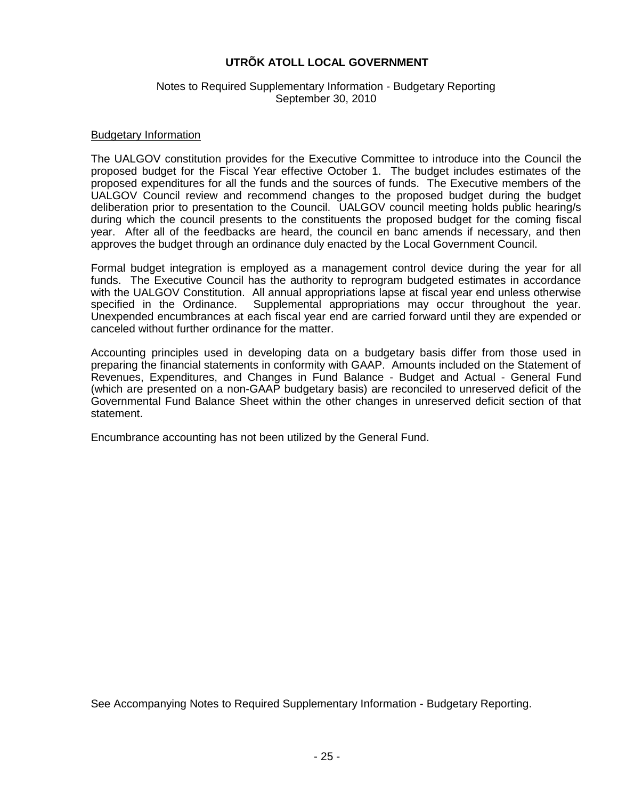#### Notes to Required Supplementary Information - Budgetary Reporting September 30, 2010

#### Budgetary Information

The UALGOV constitution provides for the Executive Committee to introduce into the Council the proposed budget for the Fiscal Year effective October 1. The budget includes estimates of the proposed expenditures for all the funds and the sources of funds. The Executive members of the UALGOV Council review and recommend changes to the proposed budget during the budget deliberation prior to presentation to the Council. UALGOV council meeting holds public hearing/s during which the council presents to the constituents the proposed budget for the coming fiscal year. After all of the feedbacks are heard, the council en banc amends if necessary, and then approves the budget through an ordinance duly enacted by the Local Government Council.

Formal budget integration is employed as a management control device during the year for all funds. The Executive Council has the authority to reprogram budgeted estimates in accordance with the UALGOV Constitution. All annual appropriations lapse at fiscal year end unless otherwise specified in the Ordinance. Supplemental appropriations may occur throughout the year. Unexpended encumbrances at each fiscal year end are carried forward until they are expended or canceled without further ordinance for the matter.

Accounting principles used in developing data on a budgetary basis differ from those used in preparing the financial statements in conformity with GAAP. Amounts included on the Statement of Revenues, Expenditures, and Changes in Fund Balance - Budget and Actual - General Fund (which are presented on a non-GAAP budgetary basis) are reconciled to unreserved deficit of the Governmental Fund Balance Sheet within the other changes in unreserved deficit section of that statement.

Encumbrance accounting has not been utilized by the General Fund.

See Accompanying Notes to Required Supplementary Information - Budgetary Reporting.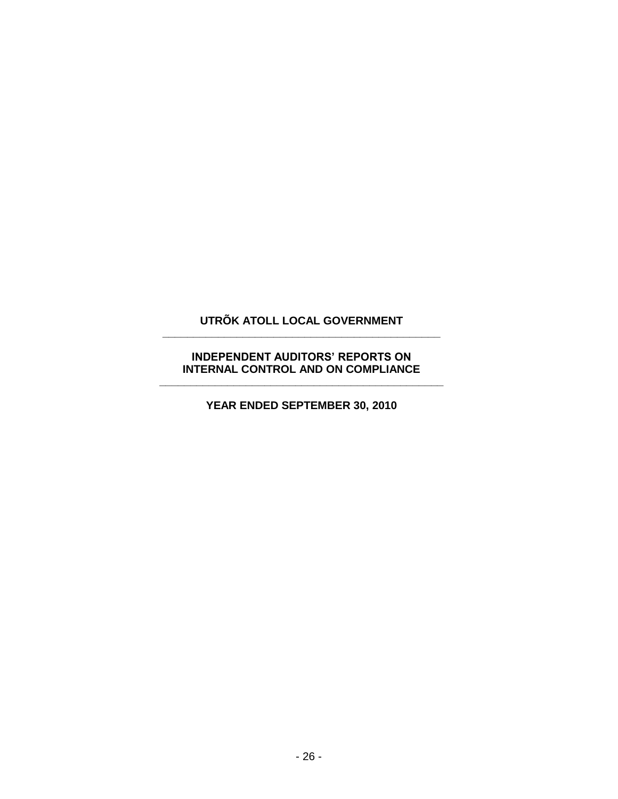# **UTRÕK ATOLL LOCAL GOVERNMENT \_\_\_\_\_\_\_\_\_\_\_\_\_\_\_\_\_\_\_\_\_\_\_\_\_\_\_\_\_\_\_\_\_\_\_\_\_\_\_\_\_\_\_\_\_**

## **INDEPENDENT AUDITORS' REPORTS ON INTERNAL CONTROL AND ON COMPLIANCE \_\_\_\_\_\_\_\_\_\_\_\_\_\_\_\_\_\_\_\_\_\_\_\_\_\_\_\_\_\_\_\_\_\_\_\_\_\_\_\_\_\_\_\_\_\_**

**YEAR ENDED SEPTEMBER 30, 2010**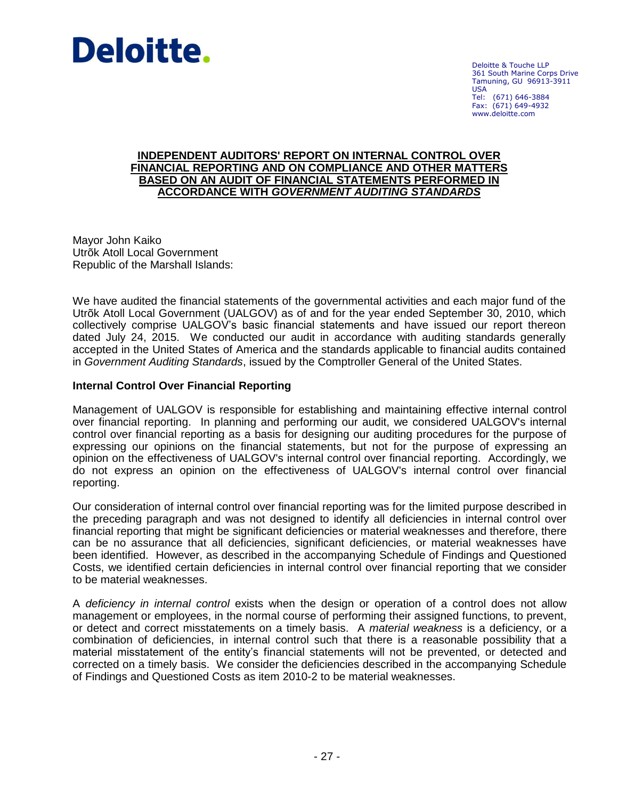

Deloitte & Touche LLP 361 South Marine Corps Drive Tamuning, GU 96913-3911 USA Tel: (671) 646-3884 Fax: (671) 649-4932 www.deloitte.com

#### **INDEPENDENT AUDITORS' REPORT ON INTERNAL CONTROL OVER FINANCIAL REPORTING AND ON COMPLIANCE AND OTHER MATTERS BASED ON AN AUDIT OF FINANCIAL STATEMENTS PERFORMED IN ACCORDANCE WITH** *GOVERNMENT AUDITING STANDARDS*

Mayor John Kaiko Utrõk Atoll Local Government Republic of the Marshall Islands:

We have audited the financial statements of the governmental activities and each major fund of the Utrõk Atoll Local Government (UALGOV) as of and for the year ended September 30, 2010, which collectively comprise UALGOV's basic financial statements and have issued our report thereon dated July 24, 2015. We conducted our audit in accordance with auditing standards generally accepted in the United States of America and the standards applicable to financial audits contained in *Government Auditing Standards*, issued by the Comptroller General of the United States.

# **Internal Control Over Financial Reporting**

Management of UALGOV is responsible for establishing and maintaining effective internal control over financial reporting. In planning and performing our audit, we considered UALGOV's internal control over financial reporting as a basis for designing our auditing procedures for the purpose of expressing our opinions on the financial statements, but not for the purpose of expressing an opinion on the effectiveness of UALGOV's internal control over financial reporting. Accordingly, we do not express an opinion on the effectiveness of UALGOV's internal control over financial reporting.

Our consideration of internal control over financial reporting was for the limited purpose described in the preceding paragraph and was not designed to identify all deficiencies in internal control over financial reporting that might be significant deficiencies or material weaknesses and therefore, there can be no assurance that all deficiencies, significant deficiencies, or material weaknesses have been identified. However, as described in the accompanying Schedule of Findings and Questioned Costs, we identified certain deficiencies in internal control over financial reporting that we consider to be material weaknesses.

A *deficiency in internal control* exists when the design or operation of a control does not allow management or employees, in the normal course of performing their assigned functions, to prevent, or detect and correct misstatements on a timely basis. A *material weakness* is a deficiency, or a combination of deficiencies, in internal control such that there is a reasonable possibility that a material misstatement of the entity's financial statements will not be prevented, or detected and corrected on a timely basis. We consider the deficiencies described in the accompanying Schedule of Findings and Questioned Costs as item 2010-2 to be material weaknesses.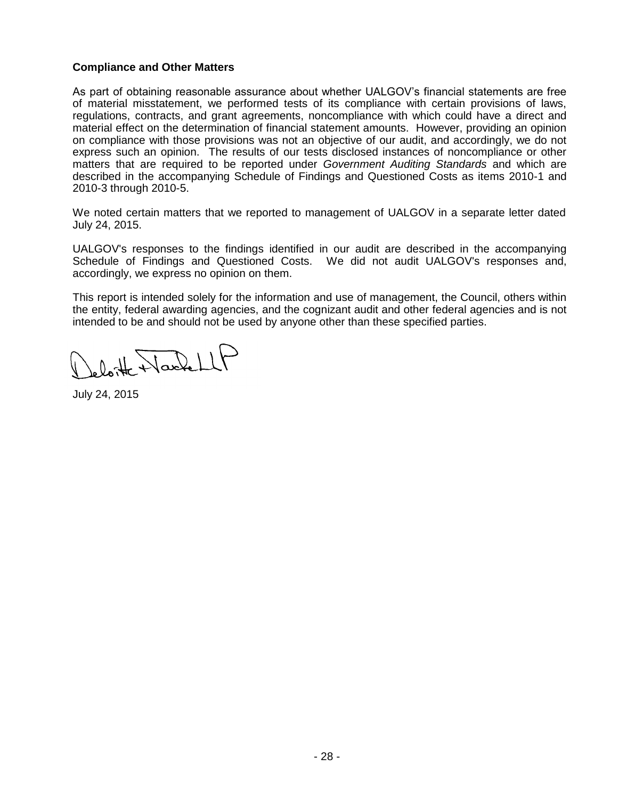## **Compliance and Other Matters**

As part of obtaining reasonable assurance about whether UALGOV's financial statements are free of material misstatement, we performed tests of its compliance with certain provisions of laws, regulations, contracts, and grant agreements, noncompliance with which could have a direct and material effect on the determination of financial statement amounts. However, providing an opinion on compliance with those provisions was not an objective of our audit, and accordingly, we do not express such an opinion. The results of our tests disclosed instances of noncompliance or other matters that are required to be reported under *Government Auditing Standards* and which are described in the accompanying Schedule of Findings and Questioned Costs as items 2010-1 and 2010-3 through 2010-5.

We noted certain matters that we reported to management of UALGOV in a separate letter dated July 24, 2015.

UALGOV's responses to the findings identified in our audit are described in the accompanying Schedule of Findings and Questioned Costs. We did not audit UALGOV's responses and, accordingly, we express no opinion on them.

This report is intended solely for the information and use of management, the Council, others within the entity, federal awarding agencies, and the cognizant audit and other federal agencies and is not intended to be and should not be used by anyone other than these specified parties.

loite Harlett

July 24, 2015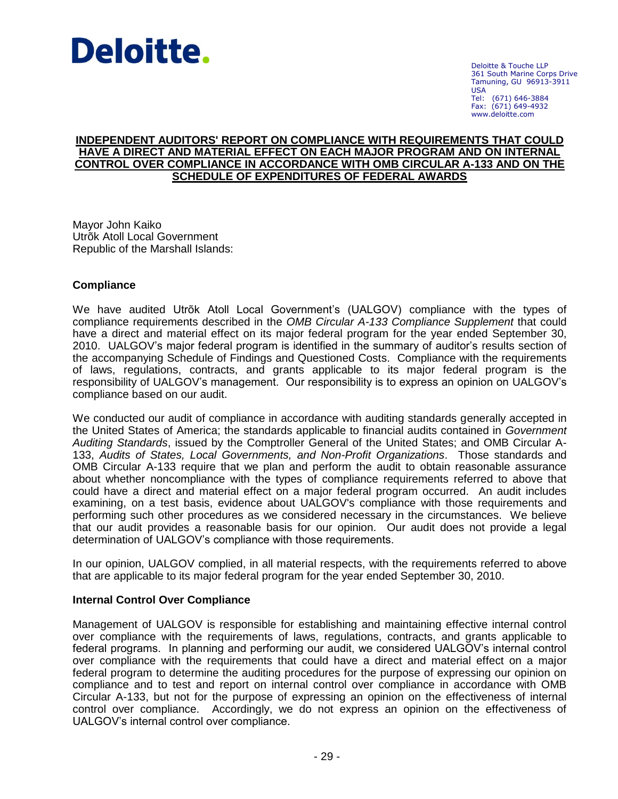

Deloitte & Touche LLP 361 South Marine Corps Drive Tamuning, GU 96913-3911 USA Tel: (671) 646-3884 Fax: (671) 649-4932 www.deloitte.com

#### **INDEPENDENT AUDITORS' REPORT ON COMPLIANCE WITH REQUIREMENTS THAT COULD HAVE A DIRECT AND MATERIAL EFFECT ON EACH MAJOR PROGRAM AND ON INTERNAL CONTROL OVER COMPLIANCE IN ACCORDANCE WITH OMB CIRCULAR A-133 AND ON THE SCHEDULE OF EXPENDITURES OF FEDERAL AWARDS**

Mayor John Kaiko Utrõk Atoll Local Government Republic of the Marshall Islands:

#### **Compliance**

We have audited Utrõk Atoll Local Government's (UALGOV) compliance with the types of compliance requirements described in the *OMB Circular A-133 Compliance Supplement* that could have a direct and material effect on its major federal program for the year ended September 30, 2010. UALGOV's major federal program is identified in the summary of auditor's results section of the accompanying Schedule of Findings and Questioned Costs. Compliance with the requirements of laws, regulations, contracts, and grants applicable to its major federal program is the responsibility of UALGOV's management. Our responsibility is to express an opinion on UALGOV's compliance based on our audit.

We conducted our audit of compliance in accordance with auditing standards generally accepted in the United States of America; the standards applicable to financial audits contained in *Government Auditing Standards*, issued by the Comptroller General of the United States; and OMB Circular A-133, *Audits of States, Local Governments, and Non-Profit Organizations*. Those standards and OMB Circular A-133 require that we plan and perform the audit to obtain reasonable assurance about whether noncompliance with the types of compliance requirements referred to above that could have a direct and material effect on a major federal program occurred. An audit includes examining, on a test basis, evidence about UALGOV's compliance with those requirements and performing such other procedures as we considered necessary in the circumstances. We believe that our audit provides a reasonable basis for our opinion. Our audit does not provide a legal determination of UALGOV's compliance with those requirements.

In our opinion, UALGOV complied, in all material respects, with the requirements referred to above that are applicable to its major federal program for the year ended September 30, 2010.

#### **Internal Control Over Compliance**

Management of UALGOV is responsible for establishing and maintaining effective internal control over compliance with the requirements of laws, regulations, contracts, and grants applicable to federal programs. In planning and performing our audit, we considered UALGOV's internal control over compliance with the requirements that could have a direct and material effect on a major federal program to determine the auditing procedures for the purpose of expressing our opinion on compliance and to test and report on internal control over compliance in accordance with OMB Circular A-133, but not for the purpose of expressing an opinion on the effectiveness of internal control over compliance. Accordingly, we do not express an opinion on the effectiveness of UALGOV's internal control over compliance.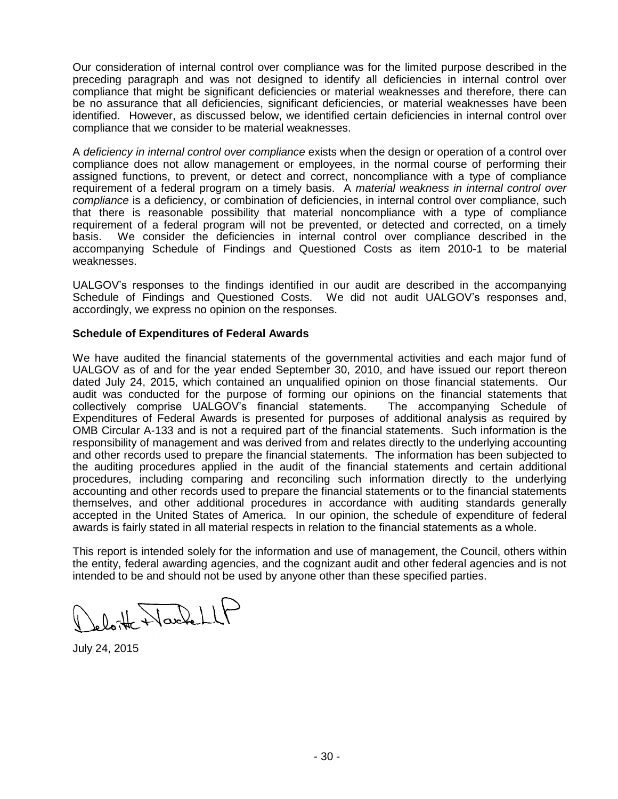Our consideration of internal control over compliance was for the limited purpose described in the preceding paragraph and was not designed to identify all deficiencies in internal control over compliance that might be significant deficiencies or material weaknesses and therefore, there can be no assurance that all deficiencies, significant deficiencies, or material weaknesses have been identified. However, as discussed below, we identified certain deficiencies in internal control over compliance that we consider to be material weaknesses.

A *deficiency in internal control over compliance* exists when the design or operation of a control over compliance does not allow management or employees, in the normal course of performing their assigned functions, to prevent, or detect and correct, noncompliance with a type of compliance requirement of a federal program on a timely basis. A *material weakness in internal control over compliance* is a deficiency, or combination of deficiencies, in internal control over compliance, such that there is reasonable possibility that material noncompliance with a type of compliance requirement of a federal program will not be prevented, or detected and corrected, on a timely basis. We consider the deficiencies in internal control over compliance described in the accompanying Schedule of Findings and Questioned Costs as item 2010-1 to be material weaknesses.

UALGOV's responses to the findings identified in our audit are described in the accompanying Schedule of Findings and Questioned Costs. We did not audit UALGOV's responses and, accordingly, we express no opinion on the responses.

#### **Schedule of Expenditures of Federal Awards**

We have audited the financial statements of the governmental activities and each major fund of UALGOV as of and for the year ended September 30, 2010, and have issued our report thereon dated July 24, 2015, which contained an unqualified opinion on those financial statements. Our audit was conducted for the purpose of forming our opinions on the financial statements that collectively comprise UALGOV's financial statements. The accompanying Schedule of Expenditures of Federal Awards is presented for purposes of additional analysis as required by OMB Circular A-133 and is not a required part of the financial statements. Such information is the responsibility of management and was derived from and relates directly to the underlying accounting and other records used to prepare the financial statements. The information has been subjected to the auditing procedures applied in the audit of the financial statements and certain additional procedures, including comparing and reconciling such information directly to the underlying accounting and other records used to prepare the financial statements or to the financial statements themselves, and other additional procedures in accordance with auditing standards generally accepted in the United States of America. In our opinion, the schedule of expenditure of federal awards is fairly stated in all material respects in relation to the financial statements as a whole.

This report is intended solely for the information and use of management, the Council, others within the entity, federal awarding agencies, and the cognizant audit and other federal agencies and is not intended to be and should not be used by anyone other than these specified parties.

 $0$  of Nackell

July 24, 2015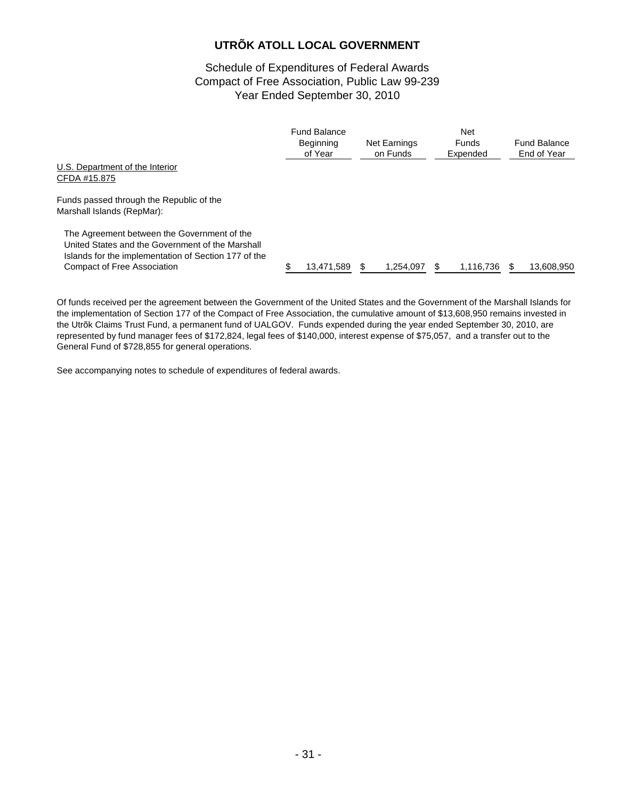# Schedule of Expenditures of Federal Awards Compact of Free Association, Public Law 99-239 Year Ended September 30, 2010

|                                                                                                                                                                                               | <b>Fund Balance</b><br><b>Beginning</b><br>of Year | Net Earnings<br>on Funds | <b>Net</b><br><b>Funds</b><br>Expended | <b>Fund Balance</b><br>End of Year |
|-----------------------------------------------------------------------------------------------------------------------------------------------------------------------------------------------|----------------------------------------------------|--------------------------|----------------------------------------|------------------------------------|
| U.S. Department of the Interior<br>CFDA #15.875                                                                                                                                               |                                                    |                          |                                        |                                    |
| Funds passed through the Republic of the<br>Marshall Islands (RepMar):                                                                                                                        |                                                    |                          |                                        |                                    |
| The Agreement between the Government of the<br>United States and the Government of the Marshall<br>Islands for the implementation of Section 177 of the<br><b>Compact of Free Association</b> | 13,471,589                                         | 1.254.097                | 1,116,736                              | 13.608.950                         |

Of funds received per the agreement between the Government of the United States and the Government of the Marshall Islands for the implementation of Section 177 of the Compact of Free Association, the cumulative amount of \$13,608,950 remains invested in the Utrõk Claims Trust Fund, a permanent fund of UALGOV. Funds expended during the year ended September 30, 2010, are represented by fund manager fees of \$172,824, legal fees of \$140,000, interest expense of \$75,057, and a transfer out to the General Fund of \$728,855 for general operations.

See accompanying notes to schedule of expenditures of federal awards.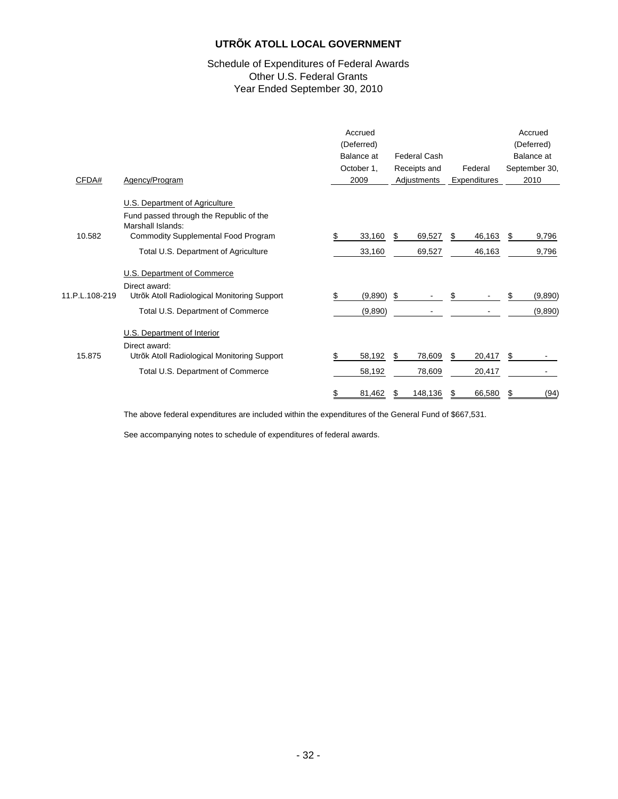#### Schedule of Expenditures of Federal Awards Other U.S. Federal Grants Year Ended September 30, 2010

| CFDA#          | Agency/Program                                                            | Accrued<br>(Deferred)<br>Balance at<br>October 1,<br>2009 |      | <b>Federal Cash</b><br>Receipts and<br>Adjustments | Federal<br>Expenditures |    | Accrued<br>(Deferred)<br>Balance at<br>September 30,<br>2010 |
|----------------|---------------------------------------------------------------------------|-----------------------------------------------------------|------|----------------------------------------------------|-------------------------|----|--------------------------------------------------------------|
|                | U.S. Department of Agriculture<br>Fund passed through the Republic of the |                                                           |      |                                                    |                         |    |                                                              |
|                | Marshall Islands:                                                         |                                                           |      |                                                    |                         |    |                                                              |
| 10.582         | <b>Commodity Supplemental Food Program</b>                                | 33,160<br>\$                                              | \$   | 69,527                                             | 46,163<br>S             | S. | 9,796                                                        |
|                | Total U.S. Department of Agriculture                                      | 33,160                                                    |      | 69,527                                             | 46,163                  |    | 9,796                                                        |
|                | U.S. Department of Commerce                                               |                                                           |      |                                                    |                         |    |                                                              |
|                | Direct award:                                                             |                                                           |      |                                                    |                         |    |                                                              |
| 11.P.L.108-219 | Utrõk Atoll Radiological Monitoring Support                               | (9,890)<br>\$                                             | - \$ |                                                    |                         |    | (9,890)                                                      |
|                | Total U.S. Department of Commerce                                         | (9,890)                                                   |      |                                                    |                         |    | (9,890)                                                      |
|                | U.S. Department of Interior                                               |                                                           |      |                                                    |                         |    |                                                              |
|                | Direct award:                                                             |                                                           |      |                                                    |                         |    |                                                              |
| 15.875         | Utrõk Atoll Radiological Monitoring Support                               | \$<br>58,192                                              | \$   | 78,609                                             | 20,417<br>S.            | \$ |                                                              |
|                | Total U.S. Department of Commerce                                         | 58,192                                                    |      | 78,609                                             | 20,417                  |    |                                                              |
|                |                                                                           | \$<br>81,462                                              | \$   | 148,136                                            | 66,580<br>S             | \$ | (94)                                                         |

The above federal expenditures are included within the expenditures of the General Fund of \$667,531.

See accompanying notes to schedule of expenditures of federal awards.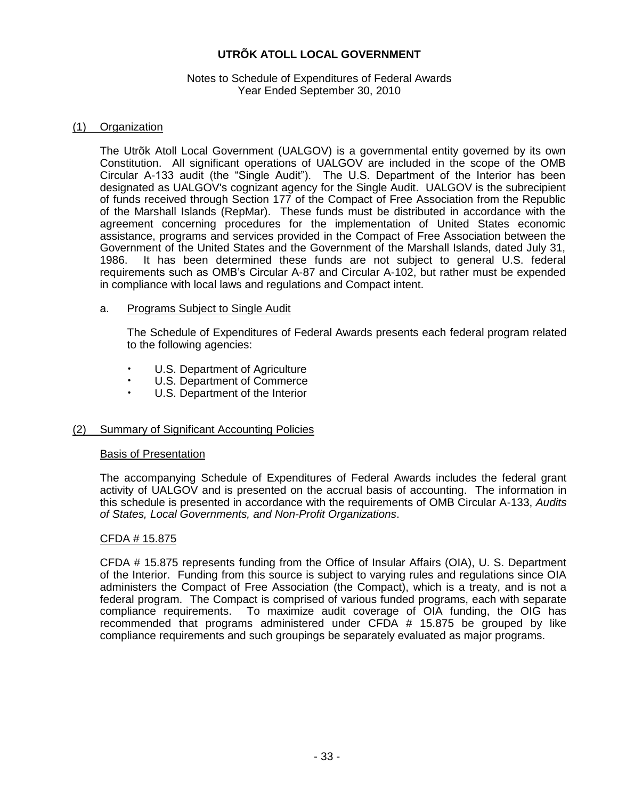#### Notes to Schedule of Expenditures of Federal Awards Year Ended September 30, 2010

#### (1) Organization

The Utrõk Atoll Local Government (UALGOV) is a governmental entity governed by its own Constitution. All significant operations of UALGOV are included in the scope of the OMB Circular A-133 audit (the "Single Audit"). The U.S. Department of the Interior has been designated as UALGOV's cognizant agency for the Single Audit. UALGOV is the subrecipient of funds received through Section 177 of the Compact of Free Association from the Republic of the Marshall Islands (RepMar). These funds must be distributed in accordance with the agreement concerning procedures for the implementation of United States economic assistance, programs and services provided in the Compact of Free Association between the Government of the United States and the Government of the Marshall Islands, dated July 31, 1986. It has been determined these funds are not subject to general U.S. federal requirements such as OMB's Circular A-87 and Circular A-102, but rather must be expended in compliance with local laws and regulations and Compact intent.

#### a. Programs Subject to Single Audit

The Schedule of Expenditures of Federal Awards presents each federal program related to the following agencies:

- U.S. Department of Agriculture
- U.S. Department of Commerce
- U.S. Department of the Interior

#### (2) Summary of Significant Accounting Policies

#### Basis of Presentation

The accompanying Schedule of Expenditures of Federal Awards includes the federal grant activity of UALGOV and is presented on the accrual basis of accounting. The information in this schedule is presented in accordance with the requirements of OMB Circular A-133, *Audits of States, Local Governments, and Non-Profit Organizations*.

#### CFDA # 15.875

CFDA # 15.875 represents funding from the Office of Insular Affairs (OIA), U. S. Department of the Interior. Funding from this source is subject to varying rules and regulations since OIA administers the Compact of Free Association (the Compact), which is a treaty, and is not a federal program. The Compact is comprised of various funded programs, each with separate compliance requirements. To maximize audit coverage of OIA funding, the OIG has recommended that programs administered under CFDA # 15.875 be grouped by like compliance requirements and such groupings be separately evaluated as major programs.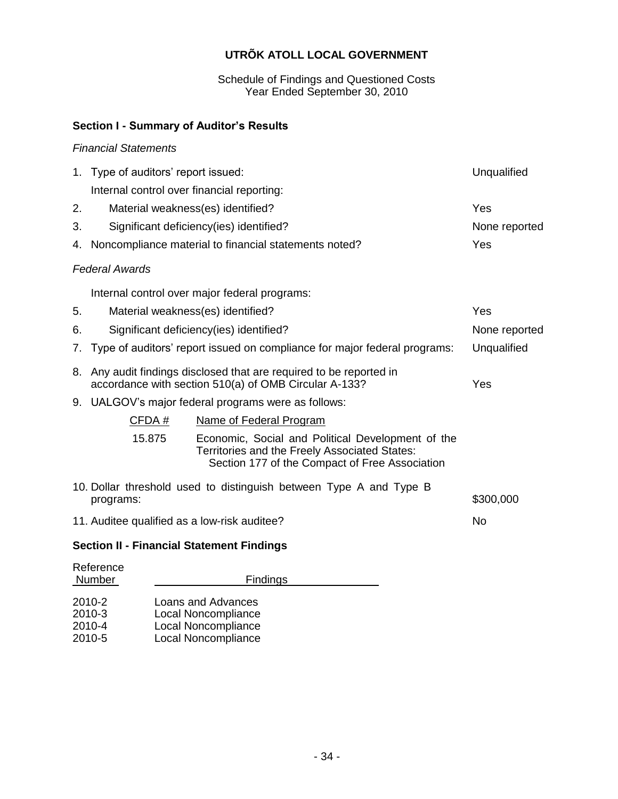Schedule of Findings and Questioned Costs Year Ended September 30, 2010

# **Section I - Summary of Auditor's Results**

## *Financial Statements*

|    | 1. Type of auditors' report issued:<br>Unqualified                                                                               |                                                                                                                                                      |               |  |  |  |
|----|----------------------------------------------------------------------------------------------------------------------------------|------------------------------------------------------------------------------------------------------------------------------------------------------|---------------|--|--|--|
|    | Internal control over financial reporting:                                                                                       |                                                                                                                                                      |               |  |  |  |
| 2. |                                                                                                                                  | Material weakness(es) identified?                                                                                                                    | Yes           |  |  |  |
| 3. |                                                                                                                                  | Significant deficiency(ies) identified?                                                                                                              | None reported |  |  |  |
|    |                                                                                                                                  | 4. Noncompliance material to financial statements noted?                                                                                             | Yes           |  |  |  |
|    | <b>Federal Awards</b>                                                                                                            |                                                                                                                                                      |               |  |  |  |
|    |                                                                                                                                  | Internal control over major federal programs:                                                                                                        |               |  |  |  |
| 5. |                                                                                                                                  | Material weakness(es) identified?                                                                                                                    | Yes           |  |  |  |
| 6. |                                                                                                                                  | Significant deficiency(ies) identified?                                                                                                              | None reported |  |  |  |
| 7. |                                                                                                                                  | Type of auditors' report issued on compliance for major federal programs:                                                                            | Unqualified   |  |  |  |
| 8. | Any audit findings disclosed that are required to be reported in<br>accordance with section 510(a) of OMB Circular A-133?<br>Yes |                                                                                                                                                      |               |  |  |  |
|    |                                                                                                                                  | 9. UALGOV's major federal programs were as follows:                                                                                                  |               |  |  |  |
|    | CFDA#                                                                                                                            | Name of Federal Program                                                                                                                              |               |  |  |  |
|    | 15.875                                                                                                                           | Economic, Social and Political Development of the<br>Territories and the Freely Associated States:<br>Section 177 of the Compact of Free Association |               |  |  |  |
|    | 10. Dollar threshold used to distinguish between Type A and Type B<br>\$300,000<br>programs:                                     |                                                                                                                                                      |               |  |  |  |
|    | 11. Auditee qualified as a low-risk auditee?<br>No                                                                               |                                                                                                                                                      |               |  |  |  |
|    |                                                                                                                                  |                                                                                                                                                      |               |  |  |  |

# **Section II - Financial Statement Findings**

| Reference<br>Number | <b>Findings</b>            |
|---------------------|----------------------------|
| 2010-2              | Loans and Advances         |
| 2010-3              | Local Noncompliance        |
| 2010-4              | Local Noncompliance        |
| 2010-5              | <b>Local Noncompliance</b> |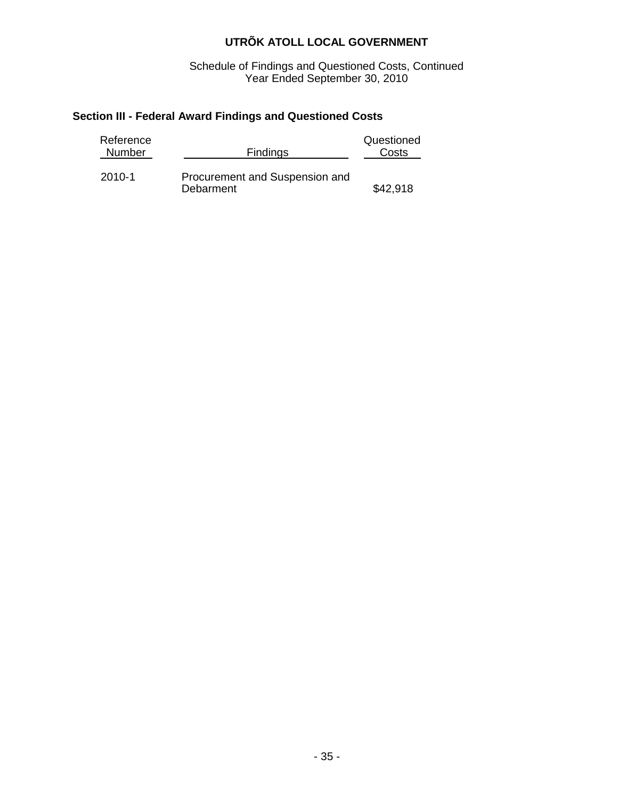Schedule of Findings and Questioned Costs, Continued Year Ended September 30, 2010

# **Section III - Federal Award Findings and Questioned Costs**

| Reference<br>Number | <b>Findings</b>                             | Questioned<br>Costs |
|---------------------|---------------------------------------------|---------------------|
| 2010-1              | Procurement and Suspension and<br>Debarment | \$42,918            |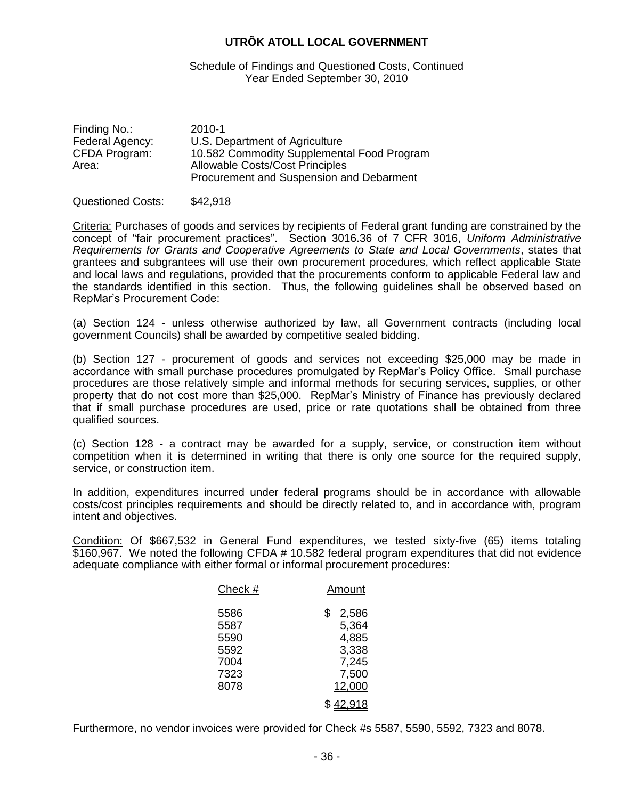Schedule of Findings and Questioned Costs, Continued Year Ended September 30, 2010

| Finding No.:    | 2010-1                                     |
|-----------------|--------------------------------------------|
| Federal Agency: | U.S. Department of Agriculture             |
| CFDA Program:   | 10.582 Commodity Supplemental Food Program |
| Area:           | <b>Allowable Costs/Cost Principles</b>     |
|                 | Procurement and Suspension and Debarment   |

#### Questioned Costs: \$42,918

Criteria: Purchases of goods and services by recipients of Federal grant funding are constrained by the concept of "fair procurement practices". Section 3016.36 of 7 CFR 3016, *Uniform Administrative Requirements for Grants and Cooperative Agreements to State and Local Governments*, states that grantees and subgrantees will use their own procurement procedures, which reflect applicable State and local laws and regulations, provided that the procurements conform to applicable Federal law and the standards identified in this section. Thus, the following guidelines shall be observed based on RepMar's Procurement Code:

(a) Section 124 - unless otherwise authorized by law, all Government contracts (including local government Councils) shall be awarded by competitive sealed bidding.

(b) Section 127 - procurement of goods and services not exceeding \$25,000 may be made in accordance with small purchase procedures promulgated by RepMar's Policy Office. Small purchase procedures are those relatively simple and informal methods for securing services, supplies, or other property that do not cost more than \$25,000. RepMar's Ministry of Finance has previously declared that if small purchase procedures are used, price or rate quotations shall be obtained from three qualified sources.

(c) Section 128 - a contract may be awarded for a supply, service, or construction item without competition when it is determined in writing that there is only one source for the required supply, service, or construction item.

In addition, expenditures incurred under federal programs should be in accordance with allowable costs/cost principles requirements and should be directly related to, and in accordance with, program intent and objectives.

Condition: Of \$667,532 in General Fund expenditures, we tested sixty-five (65) items totaling \$160,967. We noted the following CFDA # 10.582 federal program expenditures that did not evidence adequate compliance with either formal or informal procurement procedures:

| Check #                                      | Amount                                                   |  |  |  |
|----------------------------------------------|----------------------------------------------------------|--|--|--|
| 5586<br>5587<br>5590<br>5592<br>7004<br>7323 | \$<br>2,586<br>5,364<br>4,885<br>3,338<br>7,245<br>7,500 |  |  |  |
| 8078                                         | 12,000                                                   |  |  |  |
|                                              | \$ <u>42.918</u>                                         |  |  |  |

Furthermore, no vendor invoices were provided for Check #s 5587, 5590, 5592, 7323 and 8078.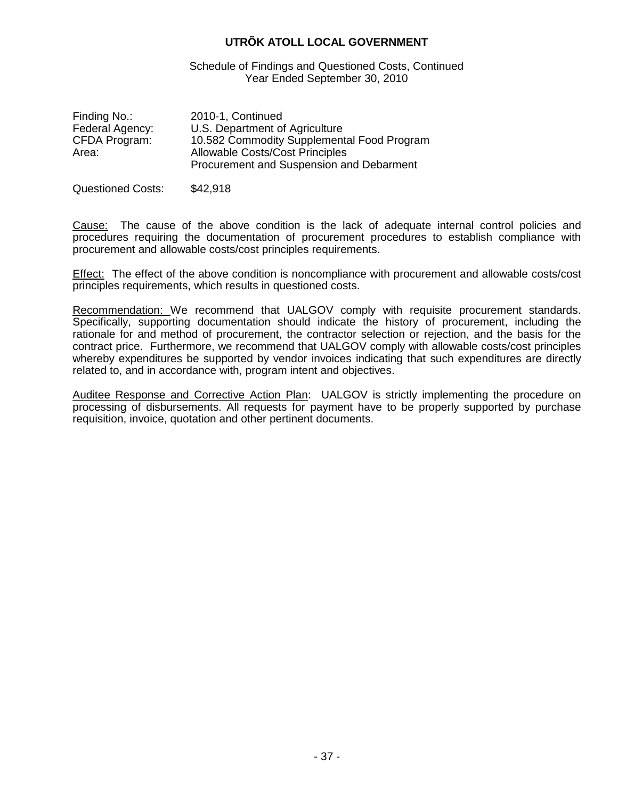Schedule of Findings and Questioned Costs, Continued Year Ended September 30, 2010

| Finding No.:    | 2010-1, Continued                          |
|-----------------|--------------------------------------------|
| Federal Agency: | U.S. Department of Agriculture             |
| CFDA Program:   | 10.582 Commodity Supplemental Food Program |
| Area:           | <b>Allowable Costs/Cost Principles</b>     |
|                 | Procurement and Suspension and Debarment   |
|                 |                                            |

Questioned Costs: \$42,918

Cause: The cause of the above condition is the lack of adequate internal control policies and procedures requiring the documentation of procurement procedures to establish compliance with procurement and allowable costs/cost principles requirements.

Effect: The effect of the above condition is noncompliance with procurement and allowable costs/cost principles requirements, which results in questioned costs.

Recommendation: We recommend that UALGOV comply with requisite procurement standards. Specifically, supporting documentation should indicate the history of procurement, including the rationale for and method of procurement, the contractor selection or rejection, and the basis for the contract price. Furthermore, we recommend that UALGOV comply with allowable costs/cost principles whereby expenditures be supported by vendor invoices indicating that such expenditures are directly related to, and in accordance with, program intent and objectives.

Auditee Response and Corrective Action Plan: UALGOV is strictly implementing the procedure on processing of disbursements. All requests for payment have to be properly supported by purchase requisition, invoice, quotation and other pertinent documents.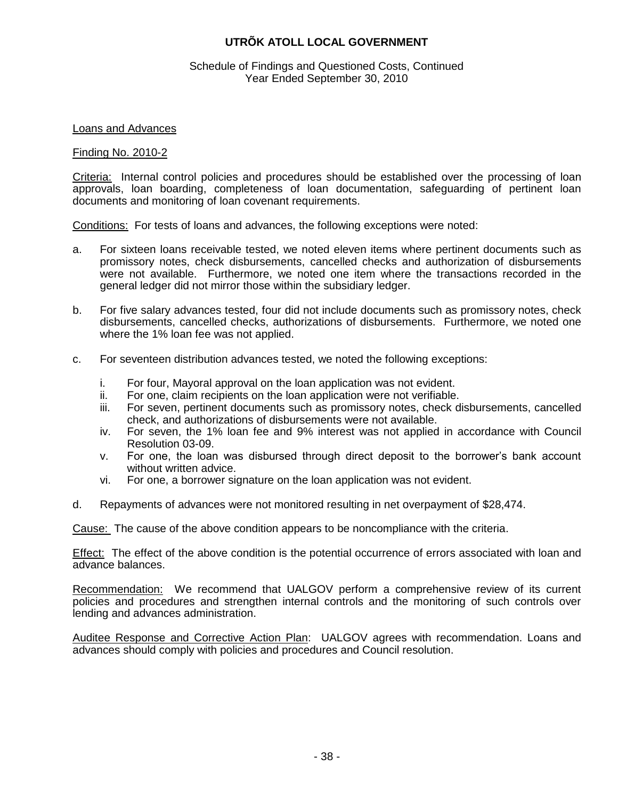#### Schedule of Findings and Questioned Costs, Continued Year Ended September 30, 2010

#### Loans and Advances

#### Finding No. 2010-2

Criteria: Internal control policies and procedures should be established over the processing of loan approvals, loan boarding, completeness of loan documentation, safeguarding of pertinent loan documents and monitoring of loan covenant requirements.

Conditions: For tests of loans and advances, the following exceptions were noted:

- a. For sixteen loans receivable tested, we noted eleven items where pertinent documents such as promissory notes, check disbursements, cancelled checks and authorization of disbursements were not available. Furthermore, we noted one item where the transactions recorded in the general ledger did not mirror those within the subsidiary ledger.
- b. For five salary advances tested, four did not include documents such as promissory notes, check disbursements, cancelled checks, authorizations of disbursements. Furthermore, we noted one where the 1% loan fee was not applied.
- c. For seventeen distribution advances tested, we noted the following exceptions:
	- i. For four, Mayoral approval on the loan application was not evident.
	- ii. For one, claim recipients on the loan application were not verifiable.
	- iii. For seven, pertinent documents such as promissory notes, check disbursements, cancelled check, and authorizations of disbursements were not available.
	- iv. For seven, the 1% loan fee and 9% interest was not applied in accordance with Council Resolution 03-09.
	- v. For one, the loan was disbursed through direct deposit to the borrower's bank account without written advice.
	- vi. For one, a borrower signature on the loan application was not evident.
- d. Repayments of advances were not monitored resulting in net overpayment of \$28,474.

Cause: The cause of the above condition appears to be noncompliance with the criteria.

Effect: The effect of the above condition is the potential occurrence of errors associated with loan and advance balances.

Recommendation: We recommend that UALGOV perform a comprehensive review of its current policies and procedures and strengthen internal controls and the monitoring of such controls over lending and advances administration.

Auditee Response and Corrective Action Plan: UALGOV agrees with recommendation. Loans and advances should comply with policies and procedures and Council resolution.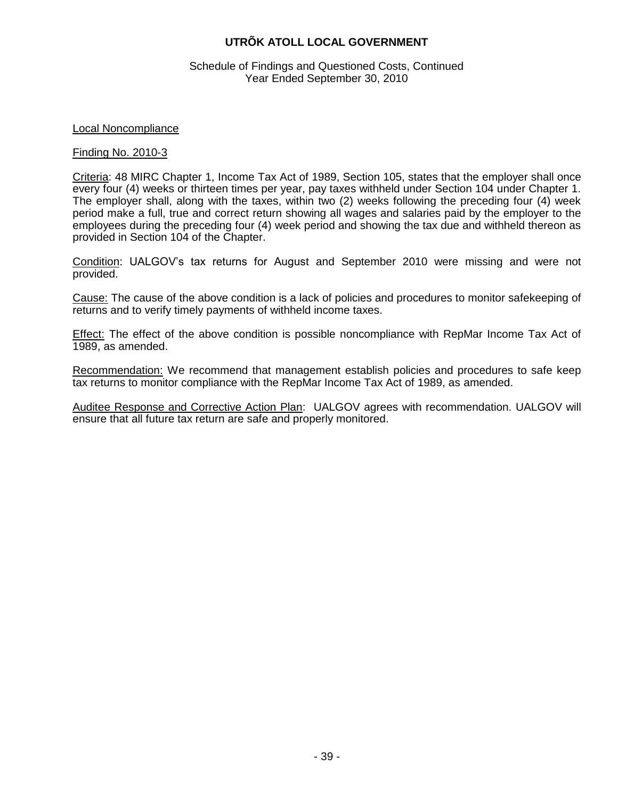Schedule of Findings and Questioned Costs, Continued Year Ended September 30, 2010

#### Local Noncompliance

#### Finding No. 2010-3

Criteria: 48 MIRC Chapter 1, Income Tax Act of 1989, Section 105, states that the employer shall once every four (4) weeks or thirteen times per year, pay taxes withheld under Section 104 under Chapter 1. The employer shall, along with the taxes, within two (2) weeks following the preceding four (4) week period make a full, true and correct return showing all wages and salaries paid by the employer to the employees during the preceding four (4) week period and showing the tax due and withheld thereon as provided in Section 104 of the Chapter.

Condition: UALGOV's tax returns for August and September 2010 were missing and were not provided.

Cause: The cause of the above condition is a lack of policies and procedures to monitor safekeeping of returns and to verify timely payments of withheld income taxes.

Effect: The effect of the above condition is possible noncompliance with RepMar Income Tax Act of 1989, as amended.

Recommendation: We recommend that management establish policies and procedures to safe keep tax returns to monitor compliance with the RepMar Income Tax Act of 1989, as amended.

Auditee Response and Corrective Action Plan: UALGOV agrees with recommendation. UALGOV will ensure that all future tax return are safe and properly monitored.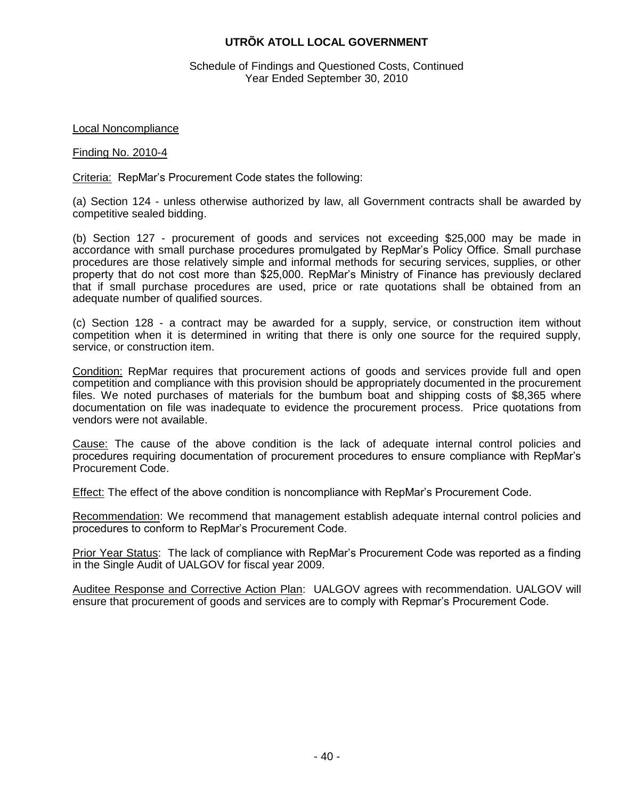Schedule of Findings and Questioned Costs, Continued Year Ended September 30, 2010

Local Noncompliance

#### Finding No. 2010-4

Criteria: RepMar's Procurement Code states the following:

(a) Section 124 - unless otherwise authorized by law, all Government contracts shall be awarded by competitive sealed bidding.

(b) Section 127 - procurement of goods and services not exceeding \$25,000 may be made in accordance with small purchase procedures promulgated by RepMar's Policy Office. Small purchase procedures are those relatively simple and informal methods for securing services, supplies, or other property that do not cost more than \$25,000. RepMar's Ministry of Finance has previously declared that if small purchase procedures are used, price or rate quotations shall be obtained from an adequate number of qualified sources.

(c) Section 128 - a contract may be awarded for a supply, service, or construction item without competition when it is determined in writing that there is only one source for the required supply, service, or construction item.

Condition: RepMar requires that procurement actions of goods and services provide full and open competition and compliance with this provision should be appropriately documented in the procurement files. We noted purchases of materials for the bumbum boat and shipping costs of \$8,365 where documentation on file was inadequate to evidence the procurement process. Price quotations from vendors were not available.

Cause: The cause of the above condition is the lack of adequate internal control policies and procedures requiring documentation of procurement procedures to ensure compliance with RepMar's Procurement Code.

Effect: The effect of the above condition is noncompliance with RepMar's Procurement Code.

Recommendation: We recommend that management establish adequate internal control policies and procedures to conform to RepMar's Procurement Code.

Prior Year Status: The lack of compliance with RepMar's Procurement Code was reported as a finding in the Single Audit of UALGOV for fiscal year 2009.

Auditee Response and Corrective Action Plan: UALGOV agrees with recommendation. UALGOV will ensure that procurement of goods and services are to comply with Repmar's Procurement Code.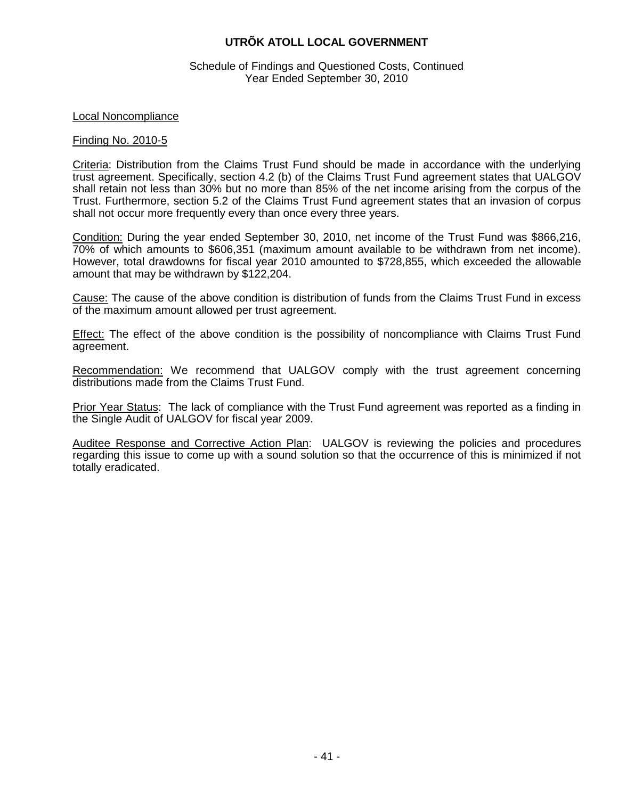#### Schedule of Findings and Questioned Costs, Continued Year Ended September 30, 2010

#### Local Noncompliance

#### Finding No. 2010-5

Criteria: Distribution from the Claims Trust Fund should be made in accordance with the underlying trust agreement. Specifically, section 4.2 (b) of the Claims Trust Fund agreement states that UALGOV shall retain not less than 30% but no more than 85% of the net income arising from the corpus of the Trust. Furthermore, section 5.2 of the Claims Trust Fund agreement states that an invasion of corpus shall not occur more frequently every than once every three years.

Condition: During the year ended September 30, 2010, net income of the Trust Fund was \$866,216, 70% of which amounts to \$606,351 (maximum amount available to be withdrawn from net income). However, total drawdowns for fiscal year 2010 amounted to \$728,855, which exceeded the allowable amount that may be withdrawn by \$122,204.

Cause: The cause of the above condition is distribution of funds from the Claims Trust Fund in excess of the maximum amount allowed per trust agreement.

Effect: The effect of the above condition is the possibility of noncompliance with Claims Trust Fund agreement.

Recommendation: We recommend that UALGOV comply with the trust agreement concerning distributions made from the Claims Trust Fund.

Prior Year Status: The lack of compliance with the Trust Fund agreement was reported as a finding in the Single Audit of UALGOV for fiscal year 2009.

Auditee Response and Corrective Action Plan: UALGOV is reviewing the policies and procedures regarding this issue to come up with a sound solution so that the occurrence of this is minimized if not totally eradicated.